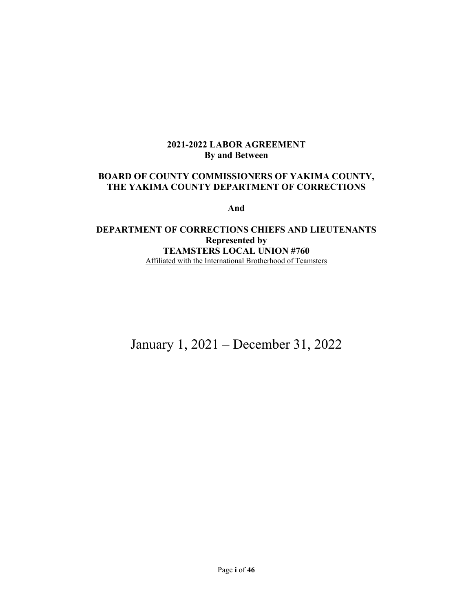## **2021-2022 LABOR AGREEMENT By and Between**

## **BOARD OF COUNTY COMMISSIONERS OF YAKIMA COUNTY, THE YAKIMA COUNTY DEPARTMENT OF CORRECTIONS**

**And** 

## **DEPARTMENT OF CORRECTIONS CHIEFS AND LIEUTENANTS Represented by TEAMSTERS LOCAL UNION #760**  Affiliated with the International Brotherhood of Teamsters

January 1, 2021 – December 31, 2022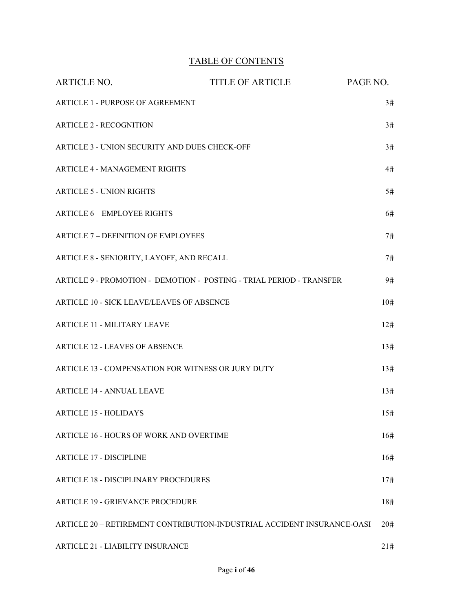# TABLE OF CONTENTS

| <b>ARTICLE NO.</b>                                 | <b>TITLE OF ARTICLE</b>                                                 | PAGE NO. |
|----------------------------------------------------|-------------------------------------------------------------------------|----------|
| <b>ARTICLE 1 - PURPOSE OF AGREEMENT</b>            |                                                                         | 3#       |
| <b>ARTICLE 2 - RECOGNITION</b>                     |                                                                         | 3#       |
| ARTICLE 3 - UNION SECURITY AND DUES CHECK-OFF      |                                                                         | 3#       |
| <b>ARTICLE 4 - MANAGEMENT RIGHTS</b>               |                                                                         | 4#       |
| <b>ARTICLE 5 - UNION RIGHTS</b>                    |                                                                         | 5#       |
| <b>ARTICLE 6 - EMPLOYEE RIGHTS</b>                 |                                                                         | 6#       |
| <b>ARTICLE 7 – DEFINITION OF EMPLOYEES</b>         |                                                                         | 7#       |
| ARTICLE 8 - SENIORITY, LAYOFF, AND RECALL          |                                                                         | 7#       |
|                                                    | ARTICLE 9 - PROMOTION - DEMOTION - POSTING - TRIAL PERIOD - TRANSFER    | 9#       |
| ARTICLE 10 - SICK LEAVE/LEAVES OF ABSENCE          |                                                                         | 10#      |
| <b>ARTICLE 11 - MILITARY LEAVE</b>                 |                                                                         | 12#      |
| <b>ARTICLE 12 - LEAVES OF ABSENCE</b>              |                                                                         | 13#      |
| ARTICLE 13 - COMPENSATION FOR WITNESS OR JURY DUTY |                                                                         | 13#      |
| <b>ARTICLE 14 - ANNUAL LEAVE</b>                   |                                                                         | 13#      |
| <b>ARTICLE 15 - HOLIDAYS</b>                       |                                                                         | 15#      |
| ARTICLE 16 - HOURS OF WORK AND OVERTIME            |                                                                         | 16#      |
| <b>ARTICLE 17 - DISCIPLINE</b>                     |                                                                         | 16#      |
| <b>ARTICLE 18 - DISCIPLINARY PROCEDURES</b>        |                                                                         | 17#      |
| <b>ARTICLE 19 - GRIEVANCE PROCEDURE</b>            |                                                                         | 18#      |
|                                                    | ARTICLE 20 - RETIREMENT CONTRIBUTION-INDUSTRIAL ACCIDENT INSURANCE-OASI | 20#      |
| <b>ARTICLE 21 - LIABILITY INSURANCE</b>            |                                                                         | 21#      |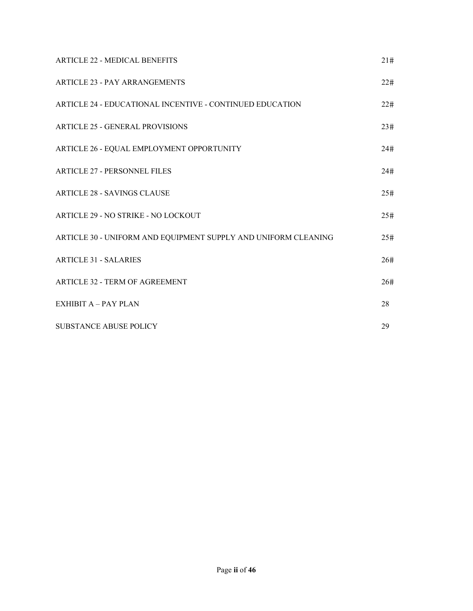| <b>ARTICLE 22 - MEDICAL BENEFITS</b>                           | 21# |
|----------------------------------------------------------------|-----|
| <b>ARTICLE 23 - PAY ARRANGEMENTS</b>                           | 22# |
| ARTICLE 24 - EDUCATIONAL INCENTIVE - CONTINUED EDUCATION       | 22# |
| <b>ARTICLE 25 - GENERAL PROVISIONS</b>                         | 23# |
| ARTICLE 26 - EQUAL EMPLOYMENT OPPORTUNITY                      | 24# |
| <b>ARTICLE 27 - PERSONNEL FILES</b>                            | 24# |
| <b>ARTICLE 28 - SAVINGS CLAUSE</b>                             | 25# |
| ARTICLE 29 - NO STRIKE - NO LOCKOUT                            | 25# |
| ARTICLE 30 - UNIFORM AND EQUIPMENT SUPPLY AND UNIFORM CLEANING | 25# |
| <b>ARTICLE 31 - SALARIES</b>                                   | 26# |
| <b>ARTICLE 32 - TERM OF AGREEMENT</b>                          | 26# |
| <b>EXHIBIT A - PAY PLAN</b>                                    | 28  |
| SUBSTANCE ABUSE POLICY                                         | 29  |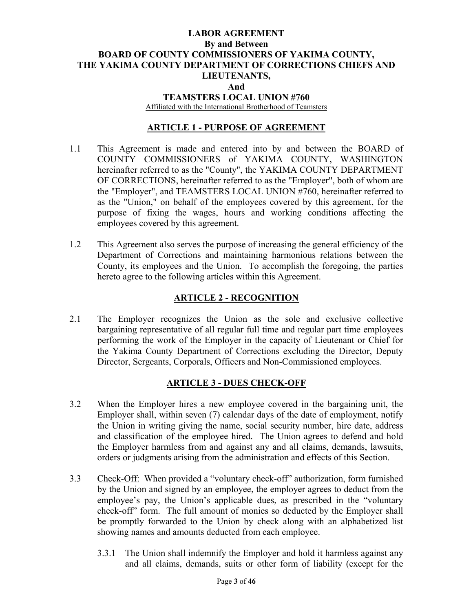## **LABOR AGREEMENT By and Between BOARD OF COUNTY COMMISSIONERS OF YAKIMA COUNTY, THE YAKIMA COUNTY DEPARTMENT OF CORRECTIONS CHIEFS AND LIEUTENANTS, And TEAMSTERS LOCAL UNION #760**  Affiliated with the International Brotherhood of Teamsters

## **ARTICLE 1 - PURPOSE OF AGREEMENT**

- 1.1 This Agreement is made and entered into by and between the BOARD of COUNTY COMMISSIONERS of YAKIMA COUNTY, WASHINGTON hereinafter referred to as the "County", the YAKIMA COUNTY DEPARTMENT OF CORRECTIONS, hereinafter referred to as the "Employer", both of whom are the "Employer", and TEAMSTERS LOCAL UNION #760, hereinafter referred to as the "Union," on behalf of the employees covered by this agreement, for the purpose of fixing the wages, hours and working conditions affecting the employees covered by this agreement.
- 1.2 This Agreement also serves the purpose of increasing the general efficiency of the Department of Corrections and maintaining harmonious relations between the County, its employees and the Union. To accomplish the foregoing, the parties hereto agree to the following articles within this Agreement.

## **ARTICLE 2 - RECOGNITION**

2.1 The Employer recognizes the Union as the sole and exclusive collective bargaining representative of all regular full time and regular part time employees performing the work of the Employer in the capacity of Lieutenant or Chief for the Yakima County Department of Corrections excluding the Director, Deputy Director, Sergeants, Corporals, Officers and Non-Commissioned employees.

### **ARTICLE 3 - DUES CHECK-OFF**

- 3.2 When the Employer hires a new employee covered in the bargaining unit, the Employer shall, within seven (7) calendar days of the date of employment, notify the Union in writing giving the name, social security number, hire date, address and classification of the employee hired. The Union agrees to defend and hold the Employer harmless from and against any and all claims, demands, lawsuits, orders or judgments arising from the administration and effects of this Section.
- 3.3 Check-Off: When provided a "voluntary check-off" authorization, form furnished by the Union and signed by an employee, the employer agrees to deduct from the employee's pay, the Union's applicable dues, as prescribed in the "voluntary check-off" form. The full amount of monies so deducted by the Employer shall be promptly forwarded to the Union by check along with an alphabetized list showing names and amounts deducted from each employee.
	- 3.3.1 The Union shall indemnify the Employer and hold it harmless against any and all claims, demands, suits or other form of liability (except for the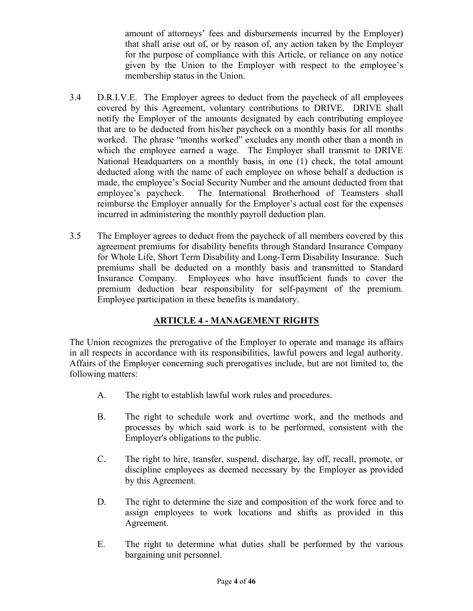amount of attorneys' fees and disbursements incurred by the Employer) that shall arise out of, or by reason of, any action taken by the Employer for the purpose of compliance with this Article, or reliance on any notice given by the Union to the Employer with respect to the employee's membership status in the Union.

- 3.4 D.R.I.V.E. The Employer agrees to deduct from the paycheck of all employees covered by this Agreement, voluntary contributions to DRIVE. DRIVE shall notify the Employer of the amounts designated by each contributing employee that are to be deducted from his/her paycheck on a monthly basis for all months worked. The phrase "months worked" excludes any month other than a month in which the employee earned a wage. The Employer shall transmit to DRIVE National Headquarters on a monthly basis, in one (1) check, the total amount deducted along with the name of each employee on whose behalf a deduction is made, the employee's Social Security Number and the amount deducted from that employee's paycheck. The International Brotherhood of Teamsters shall reimburse the Employer annually for the Employer's actual cost for the expenses incurred in administering the monthly payroll deduction plan.
- 3.5 The Employer agrees to deduct from the paycheck of all members covered by this agreement premiums for disability benefits through Standard Insurance Company for Whole Life, Short Term Disability and Long-Term Disability Insurance. Such premiums shall be deducted on a monthly basis and transmitted to Standard Insurance Company. Employees who have insufficient funds to cover the premium deduction bear responsibility for self-payment of the premium. Employee participation in these benefits is mandatory.

# **ARTICLE 4 - MANAGEMENT RIGHTS**

The Union recognizes the prerogative of the Employer to operate and manage its affairs in all respects in accordance with its responsibilities, lawful powers and legal authority. Affairs of the Employer concerning such prerogatives include, but are not limited to, the following matters:

- A. The right to establish lawful work rules and procedures.
- B. The right to schedule work and overtime work, and the methods and processes by which said work is to be performed, consistent with the Employer's obligations to the public.
- C. The right to hire, transfer, suspend, discharge, lay off, recall, promote, or discipline employees as deemed necessary by the Employer as provided by this Agreement.
- D. The right to determine the size and composition of the work force and to assign employees to work locations and shifts as provided in this Agreement.
- E. The right to determine what duties shall be performed by the various bargaining unit personnel.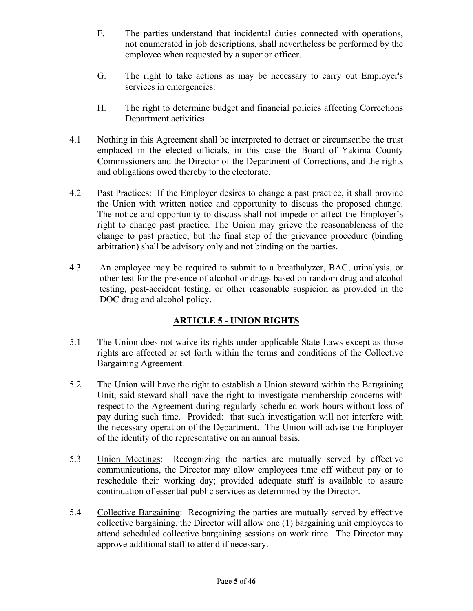- F. The parties understand that incidental duties connected with operations, not enumerated in job descriptions, shall nevertheless be performed by the employee when requested by a superior officer.
- G. The right to take actions as may be necessary to carry out Employer's services in emergencies.
- H. The right to determine budget and financial policies affecting Corrections Department activities.
- 4.1 Nothing in this Agreement shall be interpreted to detract or circumscribe the trust emplaced in the elected officials, in this case the Board of Yakima County Commissioners and the Director of the Department of Corrections, and the rights and obligations owed thereby to the electorate.
- 4.2 Past Practices: If the Employer desires to change a past practice, it shall provide the Union with written notice and opportunity to discuss the proposed change. The notice and opportunity to discuss shall not impede or affect the Employer's right to change past practice. The Union may grieve the reasonableness of the change to past practice, but the final step of the grievance procedure (binding arbitration) shall be advisory only and not binding on the parties.
- 4.3 An employee may be required to submit to a breathalyzer, BAC, urinalysis, or other test for the presence of alcohol or drugs based on random drug and alcohol testing, post-accident testing, or other reasonable suspicion as provided in the DOC drug and alcohol policy.

# **ARTICLE 5 - UNION RIGHTS**

- 5.1 The Union does not waive its rights under applicable State Laws except as those rights are affected or set forth within the terms and conditions of the Collective Bargaining Agreement.
- 5.2 The Union will have the right to establish a Union steward within the Bargaining Unit; said steward shall have the right to investigate membership concerns with respect to the Agreement during regularly scheduled work hours without loss of pay during such time. Provided: that such investigation will not interfere with the necessary operation of the Department. The Union will advise the Employer of the identity of the representative on an annual basis.
- 5.3 Union Meetings: Recognizing the parties are mutually served by effective communications, the Director may allow employees time off without pay or to reschedule their working day; provided adequate staff is available to assure continuation of essential public services as determined by the Director.
- 5.4 Collective Bargaining: Recognizing the parties are mutually served by effective collective bargaining, the Director will allow one (1) bargaining unit employees to attend scheduled collective bargaining sessions on work time. The Director may approve additional staff to attend if necessary.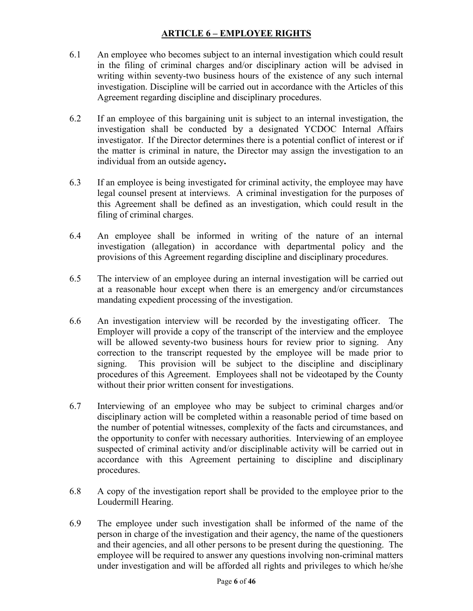# **ARTICLE 6 – EMPLOYEE RIGHTS**

- 6.1 An employee who becomes subject to an internal investigation which could result in the filing of criminal charges and/or disciplinary action will be advised in writing within seventy-two business hours of the existence of any such internal investigation. Discipline will be carried out in accordance with the Articles of this Agreement regarding discipline and disciplinary procedures.
- 6.2 If an employee of this bargaining unit is subject to an internal investigation, the investigation shall be conducted by a designated YCDOC Internal Affairs investigator. If the Director determines there is a potential conflict of interest or if the matter is criminal in nature, the Director may assign the investigation to an individual from an outside agency**.**
- 6.3 If an employee is being investigated for criminal activity, the employee may have legal counsel present at interviews. A criminal investigation for the purposes of this Agreement shall be defined as an investigation, which could result in the filing of criminal charges.
- 6.4 An employee shall be informed in writing of the nature of an internal investigation (allegation) in accordance with departmental policy and the provisions of this Agreement regarding discipline and disciplinary procedures.
- 6.5 The interview of an employee during an internal investigation will be carried out at a reasonable hour except when there is an emergency and/or circumstances mandating expedient processing of the investigation.
- 6.6 An investigation interview will be recorded by the investigating officer. The Employer will provide a copy of the transcript of the interview and the employee will be allowed seventy-two business hours for review prior to signing. Any correction to the transcript requested by the employee will be made prior to signing. This provision will be subject to the discipline and disciplinary procedures of this Agreement. Employees shall not be videotaped by the County without their prior written consent for investigations.
- 6.7 Interviewing of an employee who may be subject to criminal charges and/or disciplinary action will be completed within a reasonable period of time based on the number of potential witnesses, complexity of the facts and circumstances, and the opportunity to confer with necessary authorities. Interviewing of an employee suspected of criminal activity and/or disciplinable activity will be carried out in accordance with this Agreement pertaining to discipline and disciplinary procedures.
- 6.8 A copy of the investigation report shall be provided to the employee prior to the Loudermill Hearing.
- 6.9 The employee under such investigation shall be informed of the name of the person in charge of the investigation and their agency, the name of the questioners and their agencies, and all other persons to be present during the questioning. The employee will be required to answer any questions involving non-criminal matters under investigation and will be afforded all rights and privileges to which he/she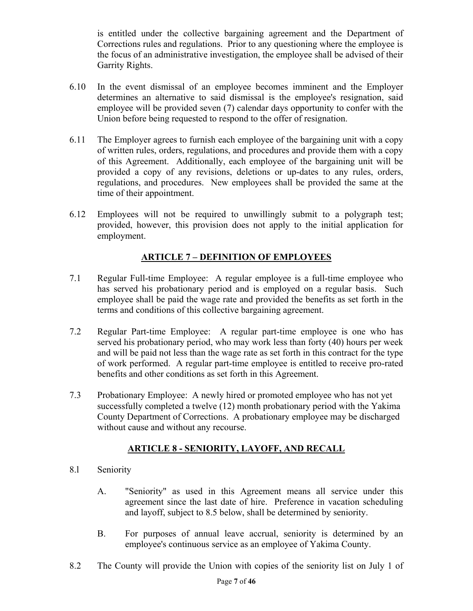is entitled under the collective bargaining agreement and the Department of Corrections rules and regulations. Prior to any questioning where the employee is the focus of an administrative investigation, the employee shall be advised of their Garrity Rights.

- 6.10 In the event dismissal of an employee becomes imminent and the Employer determines an alternative to said dismissal is the employee's resignation, said employee will be provided seven (7) calendar days opportunity to confer with the Union before being requested to respond to the offer of resignation.
- 6.11 The Employer agrees to furnish each employee of the bargaining unit with a copy of written rules, orders, regulations, and procedures and provide them with a copy of this Agreement. Additionally, each employee of the bargaining unit will be provided a copy of any revisions, deletions or up-dates to any rules, orders, regulations, and procedures. New employees shall be provided the same at the time of their appointment.
- 6.12 Employees will not be required to unwillingly submit to a polygraph test; provided, however, this provision does not apply to the initial application for employment.

# **ARTICLE 7 – DEFINITION OF EMPLOYEES**

- 7.1 Regular Full-time Employee: A regular employee is a full-time employee who has served his probationary period and is employed on a regular basis. Such employee shall be paid the wage rate and provided the benefits as set forth in the terms and conditions of this collective bargaining agreement.
- 7.2 Regular Part-time Employee: A regular part-time employee is one who has served his probationary period, who may work less than forty (40) hours per week and will be paid not less than the wage rate as set forth in this contract for the type of work performed. A regular part-time employee is entitled to receive pro-rated benefits and other conditions as set forth in this Agreement.
- 7.3 Probationary Employee: A newly hired or promoted employee who has not yet successfully completed a twelve (12) month probationary period with the Yakima County Department of Corrections. A probationary employee may be discharged without cause and without any recourse.

# **ARTICLE 8 - SENIORITY, LAYOFF, AND RECALL**

- 8.l Seniority
	- A. "Seniority" as used in this Agreement means all service under this agreement since the last date of hire. Preference in vacation scheduling and layoff, subject to 8.5 below, shall be determined by seniority.
	- B. For purposes of annual leave accrual, seniority is determined by an employee's continuous service as an employee of Yakima County.
- 8.2 The County will provide the Union with copies of the seniority list on July 1 of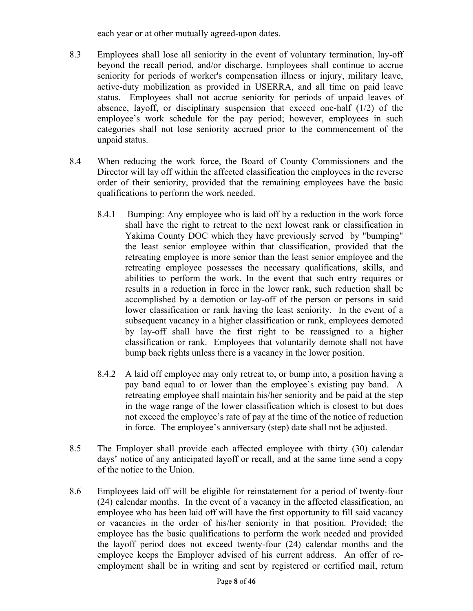each year or at other mutually agreed-upon dates.

- 8.3 Employees shall lose all seniority in the event of voluntary termination, lay-off beyond the recall period, and/or discharge. Employees shall continue to accrue seniority for periods of worker's compensation illness or injury, military leave, active-duty mobilization as provided in USERRA, and all time on paid leave status. Employees shall not accrue seniority for periods of unpaid leaves of absence, layoff, or disciplinary suspension that exceed one-half (1/2) of the employee's work schedule for the pay period; however, employees in such categories shall not lose seniority accrued prior to the commencement of the unpaid status.
- 8.4 When reducing the work force, the Board of County Commissioners and the Director will lay off within the affected classification the employees in the reverse order of their seniority, provided that the remaining employees have the basic qualifications to perform the work needed.
	- 8.4.1 Bumping: Any employee who is laid off by a reduction in the work force shall have the right to retreat to the next lowest rank or classification in Yakima County DOC which they have previously served by "bumping" the least senior employee within that classification, provided that the retreating employee is more senior than the least senior employee and the retreating employee possesses the necessary qualifications, skills, and abilities to perform the work. In the event that such entry requires or results in a reduction in force in the lower rank, such reduction shall be accomplished by a demotion or lay-off of the person or persons in said lower classification or rank having the least seniority. In the event of a subsequent vacancy in a higher classification or rank, employees demoted by lay-off shall have the first right to be reassigned to a higher classification or rank. Employees that voluntarily demote shall not have bump back rights unless there is a vacancy in the lower position.
	- 8.4.2 A laid off employee may only retreat to, or bump into, a position having a pay band equal to or lower than the employee's existing pay band. A retreating employee shall maintain his/her seniority and be paid at the step in the wage range of the lower classification which is closest to but does not exceed the employee's rate of pay at the time of the notice of reduction in force. The employee's anniversary (step) date shall not be adjusted.
- 8.5 The Employer shall provide each affected employee with thirty (30) calendar days' notice of any anticipated layoff or recall, and at the same time send a copy of the notice to the Union.
- 8.6 Employees laid off will be eligible for reinstatement for a period of twenty-four (24) calendar months. In the event of a vacancy in the affected classification, an employee who has been laid off will have the first opportunity to fill said vacancy or vacancies in the order of his/her seniority in that position. Provided; the employee has the basic qualifications to perform the work needed and provided the layoff period does not exceed twenty-four (24) calendar months and the employee keeps the Employer advised of his current address. An offer of reemployment shall be in writing and sent by registered or certified mail, return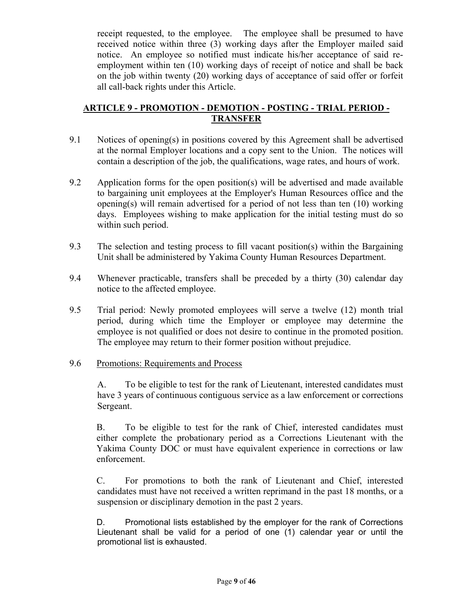receipt requested, to the employee. The employee shall be presumed to have received notice within three (3) working days after the Employer mailed said notice. An employee so notified must indicate his/her acceptance of said reemployment within ten (10) working days of receipt of notice and shall be back on the job within twenty (20) working days of acceptance of said offer or forfeit all call-back rights under this Article.

## **ARTICLE 9 - PROMOTION - DEMOTION - POSTING - TRIAL PERIOD - TRANSFER**

- 9.1 Notices of opening(s) in positions covered by this Agreement shall be advertised at the normal Employer locations and a copy sent to the Union. The notices will contain a description of the job, the qualifications, wage rates, and hours of work.
- 9.2 Application forms for the open position(s) will be advertised and made available to bargaining unit employees at the Employer's Human Resources office and the opening(s) will remain advertised for a period of not less than ten (10) working days. Employees wishing to make application for the initial testing must do so within such period.
- 9.3 The selection and testing process to fill vacant position(s) within the Bargaining Unit shall be administered by Yakima County Human Resources Department.
- 9.4 Whenever practicable, transfers shall be preceded by a thirty (30) calendar day notice to the affected employee.
- 9.5 Trial period: Newly promoted employees will serve a twelve (12) month trial period, during which time the Employer or employee may determine the employee is not qualified or does not desire to continue in the promoted position. The employee may return to their former position without prejudice.

## 9.6 Promotions: Requirements and Process

A. To be eligible to test for the rank of Lieutenant, interested candidates must have 3 years of continuous contiguous service as a law enforcement or corrections Sergeant.

B. To be eligible to test for the rank of Chief, interested candidates must either complete the probationary period as a Corrections Lieutenant with the Yakima County DOC or must have equivalent experience in corrections or law enforcement.

C. For promotions to both the rank of Lieutenant and Chief, interested candidates must have not received a written reprimand in the past 18 months, or a suspension or disciplinary demotion in the past 2 years.

D. Promotional lists established by the employer for the rank of Corrections Lieutenant shall be valid for a period of one (1) calendar year or until the promotional list is exhausted.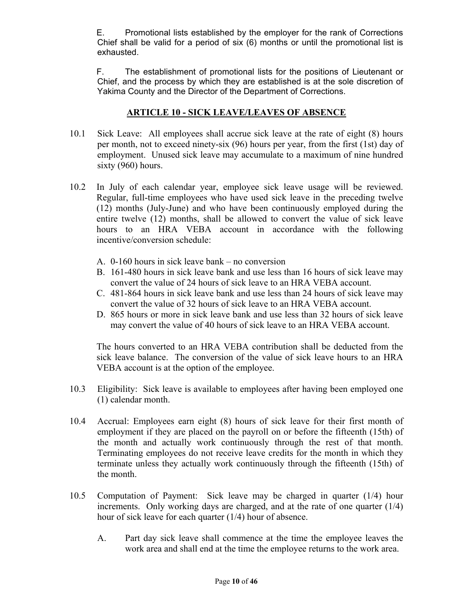E. Promotional lists established by the employer for the rank of Corrections Chief shall be valid for a period of six (6) months or until the promotional list is exhausted.

F. The establishment of promotional lists for the positions of Lieutenant or Chief, and the process by which they are established is at the sole discretion of Yakima County and the Director of the Department of Corrections.

## **ARTICLE 10 - SICK LEAVE/LEAVES OF ABSENCE**

- 10.1 Sick Leave: All employees shall accrue sick leave at the rate of eight (8) hours per month, not to exceed ninety-six (96) hours per year, from the first (1st) day of employment. Unused sick leave may accumulate to a maximum of nine hundred sixty (960) hours.
- 10.2 In July of each calendar year, employee sick leave usage will be reviewed. Regular, full-time employees who have used sick leave in the preceding twelve (12) months (July-June) and who have been continuously employed during the entire twelve (12) months, shall be allowed to convert the value of sick leave hours to an HRA VEBA account in accordance with the following incentive/conversion schedule:
	- A. 0-160 hours in sick leave bank no conversion
	- B. 161-480 hours in sick leave bank and use less than 16 hours of sick leave may convert the value of 24 hours of sick leave to an HRA VEBA account.
	- C. 481-864 hours in sick leave bank and use less than 24 hours of sick leave may convert the value of 32 hours of sick leave to an HRA VEBA account.
	- D. 865 hours or more in sick leave bank and use less than 32 hours of sick leave may convert the value of 40 hours of sick leave to an HRA VEBA account.

The hours converted to an HRA VEBA contribution shall be deducted from the sick leave balance. The conversion of the value of sick leave hours to an HRA VEBA account is at the option of the employee.

- 10.3 Eligibility: Sick leave is available to employees after having been employed one (1) calendar month.
- 10.4 Accrual: Employees earn eight (8) hours of sick leave for their first month of employment if they are placed on the payroll on or before the fifteenth (15th) of the month and actually work continuously through the rest of that month. Terminating employees do not receive leave credits for the month in which they terminate unless they actually work continuously through the fifteenth (15th) of the month.
- 10.5 Computation of Payment: Sick leave may be charged in quarter (1/4) hour increments. Only working days are charged, and at the rate of one quarter (1/4) hour of sick leave for each quarter (1/4) hour of absence.
	- A. Part day sick leave shall commence at the time the employee leaves the work area and shall end at the time the employee returns to the work area.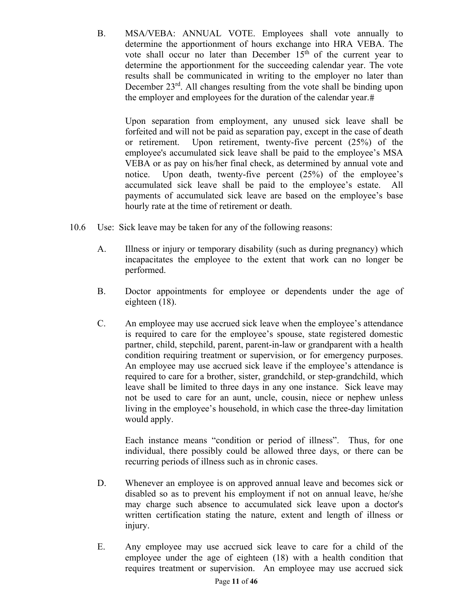B. MSA/VEBA: ANNUAL VOTE. Employees shall vote annually to determine the apportionment of hours exchange into HRA VEBA. The vote shall occur no later than December  $15<sup>th</sup>$  of the current year to determine the apportionment for the succeeding calendar year. The vote results shall be communicated in writing to the employer no later than December 23<sup>rd</sup>. All changes resulting from the vote shall be binding upon the employer and employees for the duration of the calendar year.

Upon separation from employment, any unused sick leave shall be forfeited and will not be paid as separation pay, except in the case of death or retirement. Upon retirement, twenty-five percent (25%) of the employee's accumulated sick leave shall be paid to the employee's MSA VEBA or as pay on his/her final check, as determined by annual vote and notice. Upon death, twenty-five percent (25%) of the employee's accumulated sick leave shall be paid to the employee's estate. All payments of accumulated sick leave are based on the employee's base hourly rate at the time of retirement or death.

- 10.6 Use: Sick leave may be taken for any of the following reasons:
	- A. Illness or injury or temporary disability (such as during pregnancy) which incapacitates the employee to the extent that work can no longer be performed.
	- B. Doctor appointments for employee or dependents under the age of eighteen (18).
	- C. An employee may use accrued sick leave when the employee's attendance is required to care for the employee's spouse, state registered domestic partner, child, stepchild, parent, parent-in-law or grandparent with a health condition requiring treatment or supervision, or for emergency purposes. An employee may use accrued sick leave if the employee's attendance is required to care for a brother, sister, grandchild, or step-grandchild, which leave shall be limited to three days in any one instance. Sick leave may not be used to care for an aunt, uncle, cousin, niece or nephew unless living in the employee's household, in which case the three-day limitation would apply.

Each instance means "condition or period of illness". Thus, for one individual, there possibly could be allowed three days, or there can be recurring periods of illness such as in chronic cases.

- D. Whenever an employee is on approved annual leave and becomes sick or disabled so as to prevent his employment if not on annual leave, he/she may charge such absence to accumulated sick leave upon a doctor's written certification stating the nature, extent and length of illness or injury.
- E. Any employee may use accrued sick leave to care for a child of the employee under the age of eighteen (18) with a health condition that requires treatment or supervision. An employee may use accrued sick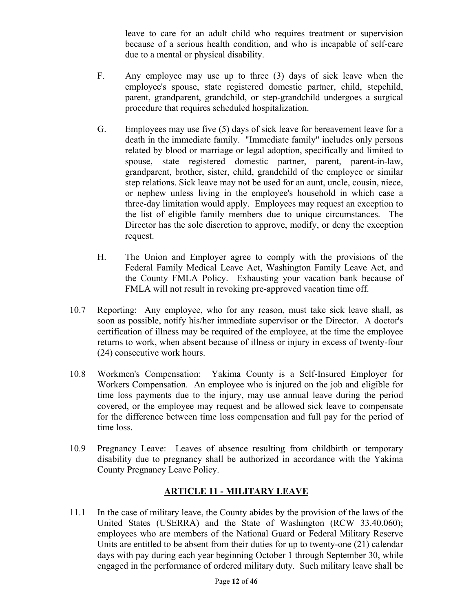leave to care for an adult child who requires treatment or supervision because of a serious health condition, and who is incapable of self-care due to a mental or physical disability.

- F. Any employee may use up to three (3) days of sick leave when the employee's spouse, state registered domestic partner, child, stepchild, parent, grandparent, grandchild, or step-grandchild undergoes a surgical procedure that requires scheduled hospitalization.
- G. Employees may use five (5) days of sick leave for bereavement leave for a death in the immediate family. "Immediate family" includes only persons related by blood or marriage or legal adoption, specifically and limited to spouse, state registered domestic partner, parent, parent-in-law, grandparent, brother, sister, child, grandchild of the employee or similar step relations. Sick leave may not be used for an aunt, uncle, cousin, niece, or nephew unless living in the employee's household in which case a three-day limitation would apply. Employees may request an exception to the list of eligible family members due to unique circumstances. The Director has the sole discretion to approve, modify, or deny the exception request.
- H. The Union and Employer agree to comply with the provisions of the Federal Family Medical Leave Act, Washington Family Leave Act, and the County FMLA Policy. Exhausting your vacation bank because of FMLA will not result in revoking pre-approved vacation time off.
- 10.7 Reporting: Any employee, who for any reason, must take sick leave shall, as soon as possible, notify his/her immediate supervisor or the Director. A doctor's certification of illness may be required of the employee, at the time the employee returns to work, when absent because of illness or injury in excess of twenty-four (24) consecutive work hours.
- 10.8 Workmen's Compensation: Yakima County is a Self-Insured Employer for Workers Compensation. An employee who is injured on the job and eligible for time loss payments due to the injury, may use annual leave during the period covered, or the employee may request and be allowed sick leave to compensate for the difference between time loss compensation and full pay for the period of time loss.
- 10.9 Pregnancy Leave: Leaves of absence resulting from childbirth or temporary disability due to pregnancy shall be authorized in accordance with the Yakima County Pregnancy Leave Policy.

# **ARTICLE 11 - MILITARY LEAVE**

11.1 In the case of military leave, the County abides by the provision of the laws of the United States (USERRA) and the State of Washington (RCW 33.40.060); employees who are members of the National Guard or Federal Military Reserve Units are entitled to be absent from their duties for up to twenty-one (21) calendar days with pay during each year beginning October 1 through September 30, while engaged in the performance of ordered military duty. Such military leave shall be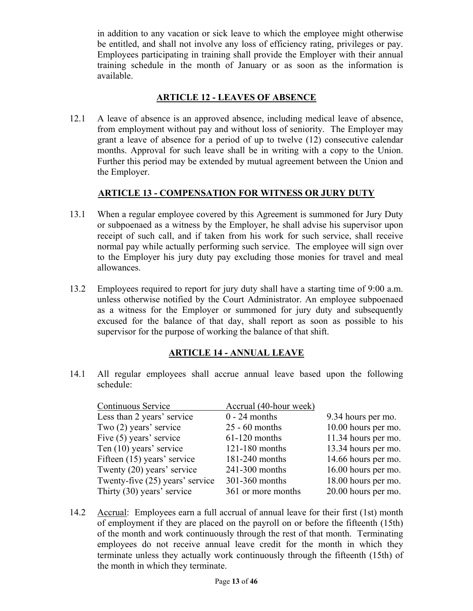in addition to any vacation or sick leave to which the employee might otherwise be entitled, and shall not involve any loss of efficiency rating, privileges or pay. Employees participating in training shall provide the Employer with their annual training schedule in the month of January or as soon as the information is available.

## **ARTICLE 12 - LEAVES OF ABSENCE**

12.1 A leave of absence is an approved absence, including medical leave of absence, from employment without pay and without loss of seniority. The Employer may grant a leave of absence for a period of up to twelve (12) consecutive calendar months. Approval for such leave shall be in writing with a copy to the Union. Further this period may be extended by mutual agreement between the Union and the Employer.

## **ARTICLE 13 - COMPENSATION FOR WITNESS OR JURY DUTY**

- 13.1 When a regular employee covered by this Agreement is summoned for Jury Duty or subpoenaed as a witness by the Employer, he shall advise his supervisor upon receipt of such call, and if taken from his work for such service, shall receive normal pay while actually performing such service. The employee will sign over to the Employer his jury duty pay excluding those monies for travel and meal allowances.
- 13.2 Employees required to report for jury duty shall have a starting time of 9:00 a.m. unless otherwise notified by the Court Administrator. An employee subpoenaed as a witness for the Employer or summoned for jury duty and subsequently excused for the balance of that day, shall report as soon as possible to his supervisor for the purpose of working the balance of that shift.

## **ARTICLE 14 - ANNUAL LEAVE**

14.1 All regular employees shall accrue annual leave based upon the following schedule:

| Continuous Service              | Accrual (40-hour week) |                     |
|---------------------------------|------------------------|---------------------|
| Less than 2 years' service      | $0 - 24$ months        | 9.34 hours per mo.  |
| Two (2) years' service          | $25 - 60$ months       | 10.00 hours per mo. |
| Five (5) years' service         | $61-120$ months        | 11.34 hours per mo. |
| Ten (10) years' service         | 121-180 months         | 13.34 hours per mo. |
| Fifteen (15) years' service     | 181-240 months         | 14.66 hours per mo. |
| Twenty (20) years' service      | 241-300 months         | 16.00 hours per mo. |
| Twenty-five (25) years' service | 301-360 months         | 18.00 hours per mo. |
| Thirty (30) years' service      | 361 or more months     | 20.00 hours per mo. |

14.2 Accrual: Employees earn a full accrual of annual leave for their first (1st) month of employment if they are placed on the payroll on or before the fifteenth (15th) of the month and work continuously through the rest of that month. Terminating employees do not receive annual leave credit for the month in which they terminate unless they actually work continuously through the fifteenth (15th) of the month in which they terminate.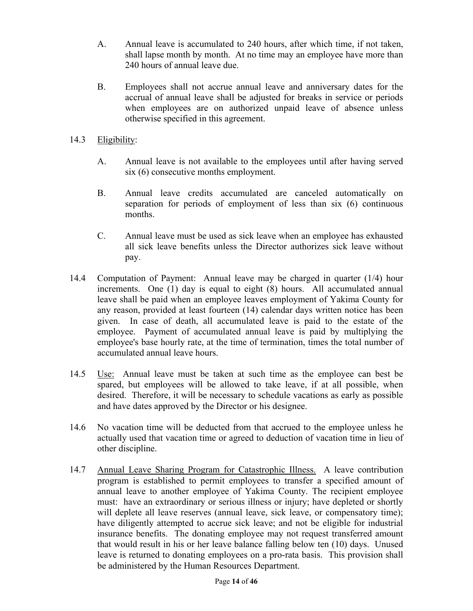- A. Annual leave is accumulated to 240 hours, after which time, if not taken, shall lapse month by month. At no time may an employee have more than 240 hours of annual leave due.
- B. Employees shall not accrue annual leave and anniversary dates for the accrual of annual leave shall be adjusted for breaks in service or periods when employees are on authorized unpaid leave of absence unless otherwise specified in this agreement.
- 14.3 Eligibility:
	- A. Annual leave is not available to the employees until after having served six (6) consecutive months employment.
	- B. Annual leave credits accumulated are canceled automatically on separation for periods of employment of less than six (6) continuous months.
	- C. Annual leave must be used as sick leave when an employee has exhausted all sick leave benefits unless the Director authorizes sick leave without pay.
- 14.4 Computation of Payment: Annual leave may be charged in quarter (1/4) hour increments. One (1) day is equal to eight (8) hours. All accumulated annual leave shall be paid when an employee leaves employment of Yakima County for any reason, provided at least fourteen (14) calendar days written notice has been given. In case of death, all accumulated leave is paid to the estate of the employee. Payment of accumulated annual leave is paid by multiplying the employee's base hourly rate, at the time of termination, times the total number of accumulated annual leave hours.
- 14.5 Use: Annual leave must be taken at such time as the employee can best be spared, but employees will be allowed to take leave, if at all possible, when desired. Therefore, it will be necessary to schedule vacations as early as possible and have dates approved by the Director or his designee.
- 14.6 No vacation time will be deducted from that accrued to the employee unless he actually used that vacation time or agreed to deduction of vacation time in lieu of other discipline.
- 14.7 Annual Leave Sharing Program for Catastrophic Illness. A leave contribution program is established to permit employees to transfer a specified amount of annual leave to another employee of Yakima County. The recipient employee must: have an extraordinary or serious illness or injury; have depleted or shortly will deplete all leave reserves (annual leave, sick leave, or compensatory time); have diligently attempted to accrue sick leave; and not be eligible for industrial insurance benefits. The donating employee may not request transferred amount that would result in his or her leave balance falling below ten (10) days. Unused leave is returned to donating employees on a pro-rata basis. This provision shall be administered by the Human Resources Department.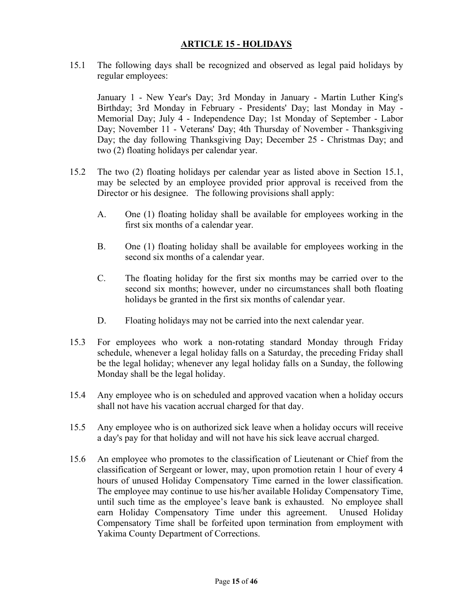## **ARTICLE 15 - HOLIDAYS**

15.1 The following days shall be recognized and observed as legal paid holidays by regular employees:

January 1 - New Year's Day; 3rd Monday in January - Martin Luther King's Birthday; 3rd Monday in February - Presidents' Day; last Monday in May - Memorial Day; July 4 - Independence Day; 1st Monday of September - Labor Day; November 11 - Veterans' Day; 4th Thursday of November - Thanksgiving Day; the day following Thanksgiving Day; December 25 - Christmas Day; and two (2) floating holidays per calendar year.

- 15.2 The two (2) floating holidays per calendar year as listed above in Section 15.1, may be selected by an employee provided prior approval is received from the Director or his designee. The following provisions shall apply:
	- A. One (1) floating holiday shall be available for employees working in the first six months of a calendar year.
	- B. One (1) floating holiday shall be available for employees working in the second six months of a calendar year.
	- C. The floating holiday for the first six months may be carried over to the second six months; however, under no circumstances shall both floating holidays be granted in the first six months of calendar year.
	- D. Floating holidays may not be carried into the next calendar year.
- 15.3 For employees who work a non-rotating standard Monday through Friday schedule, whenever a legal holiday falls on a Saturday, the preceding Friday shall be the legal holiday; whenever any legal holiday falls on a Sunday, the following Monday shall be the legal holiday.
- 15.4 Any employee who is on scheduled and approved vacation when a holiday occurs shall not have his vacation accrual charged for that day.
- 15.5 Any employee who is on authorized sick leave when a holiday occurs will receive a day's pay for that holiday and will not have his sick leave accrual charged.
- 15.6 An employee who promotes to the classification of Lieutenant or Chief from the classification of Sergeant or lower, may, upon promotion retain 1 hour of every 4 hours of unused Holiday Compensatory Time earned in the lower classification. The employee may continue to use his/her available Holiday Compensatory Time, until such time as the employee's leave bank is exhausted. No employee shall earn Holiday Compensatory Time under this agreement. Unused Holiday Compensatory Time shall be forfeited upon termination from employment with Yakima County Department of Corrections.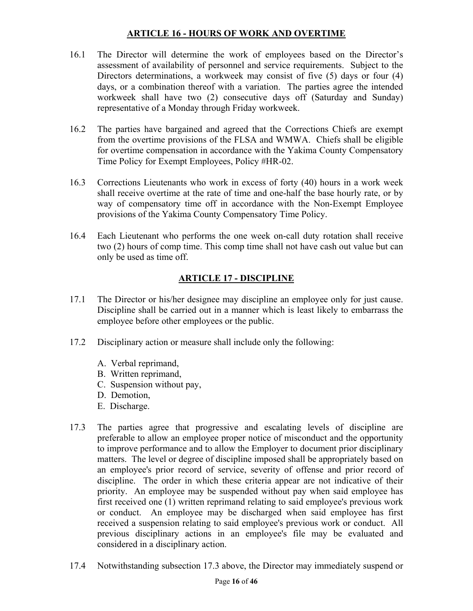## **ARTICLE 16 - HOURS OF WORK AND OVERTIME**

- 16.1 The Director will determine the work of employees based on the Director's assessment of availability of personnel and service requirements. Subject to the Directors determinations, a workweek may consist of five (5) days or four (4) days, or a combination thereof with a variation. The parties agree the intended workweek shall have two (2) consecutive days off (Saturday and Sunday) representative of a Monday through Friday workweek.
- 16.2 The parties have bargained and agreed that the Corrections Chiefs are exempt from the overtime provisions of the FLSA and WMWA. Chiefs shall be eligible for overtime compensation in accordance with the Yakima County Compensatory Time Policy for Exempt Employees, Policy #HR-02.
- 16.3 Corrections Lieutenants who work in excess of forty (40) hours in a work week shall receive overtime at the rate of time and one-half the base hourly rate, or by way of compensatory time off in accordance with the Non-Exempt Employee provisions of the Yakima County Compensatory Time Policy.
- 16.4 Each Lieutenant who performs the one week on-call duty rotation shall receive two (2) hours of comp time. This comp time shall not have cash out value but can only be used as time off.

# **ARTICLE 17 - DISCIPLINE**

- 17.1 The Director or his/her designee may discipline an employee only for just cause. Discipline shall be carried out in a manner which is least likely to embarrass the employee before other employees or the public.
- 17.2 Disciplinary action or measure shall include only the following:
	- A. Verbal reprimand,
	- B. Written reprimand,
	- C. Suspension without pay,
	- D. Demotion,
	- E. Discharge.
- 17.3 The parties agree that progressive and escalating levels of discipline are preferable to allow an employee proper notice of misconduct and the opportunity to improve performance and to allow the Employer to document prior disciplinary matters. The level or degree of discipline imposed shall be appropriately based on an employee's prior record of service, severity of offense and prior record of discipline. The order in which these criteria appear are not indicative of their priority. An employee may be suspended without pay when said employee has first received one (1) written reprimand relating to said employee's previous work or conduct. An employee may be discharged when said employee has first received a suspension relating to said employee's previous work or conduct. All previous disciplinary actions in an employee's file may be evaluated and considered in a disciplinary action.
- 17.4 Notwithstanding subsection 17.3 above, the Director may immediately suspend or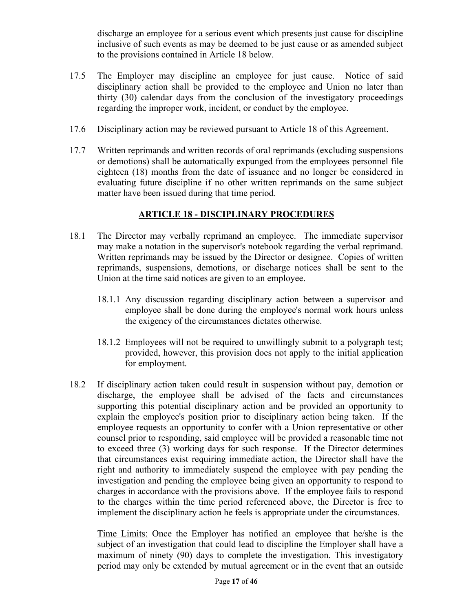discharge an employee for a serious event which presents just cause for discipline inclusive of such events as may be deemed to be just cause or as amended subject to the provisions contained in Article 18 below.

- 17.5 The Employer may discipline an employee for just cause. Notice of said disciplinary action shall be provided to the employee and Union no later than thirty (30) calendar days from the conclusion of the investigatory proceedings regarding the improper work, incident, or conduct by the employee.
- 17.6 Disciplinary action may be reviewed pursuant to Article 18 of this Agreement.
- 17.7 Written reprimands and written records of oral reprimands (excluding suspensions or demotions) shall be automatically expunged from the employees personnel file eighteen (18) months from the date of issuance and no longer be considered in evaluating future discipline if no other written reprimands on the same subject matter have been issued during that time period.

## **ARTICLE 18 - DISCIPLINARY PROCEDURES**

- 18.1 The Director may verbally reprimand an employee. The immediate supervisor may make a notation in the supervisor's notebook regarding the verbal reprimand. Written reprimands may be issued by the Director or designee. Copies of written reprimands, suspensions, demotions, or discharge notices shall be sent to the Union at the time said notices are given to an employee.
	- 18.1.1 Any discussion regarding disciplinary action between a supervisor and employee shall be done during the employee's normal work hours unless the exigency of the circumstances dictates otherwise.
	- 18.1.2 Employees will not be required to unwillingly submit to a polygraph test; provided, however, this provision does not apply to the initial application for employment.
- 18.2 If disciplinary action taken could result in suspension without pay, demotion or discharge, the employee shall be advised of the facts and circumstances supporting this potential disciplinary action and be provided an opportunity to explain the employee's position prior to disciplinary action being taken. If the employee requests an opportunity to confer with a Union representative or other counsel prior to responding, said employee will be provided a reasonable time not to exceed three (3) working days for such response. If the Director determines that circumstances exist requiring immediate action, the Director shall have the right and authority to immediately suspend the employee with pay pending the investigation and pending the employee being given an opportunity to respond to charges in accordance with the provisions above. If the employee fails to respond to the charges within the time period referenced above, the Director is free to implement the disciplinary action he feels is appropriate under the circumstances.

Time Limits: Once the Employer has notified an employee that he/she is the subject of an investigation that could lead to discipline the Employer shall have a maximum of ninety (90) days to complete the investigation. This investigatory period may only be extended by mutual agreement or in the event that an outside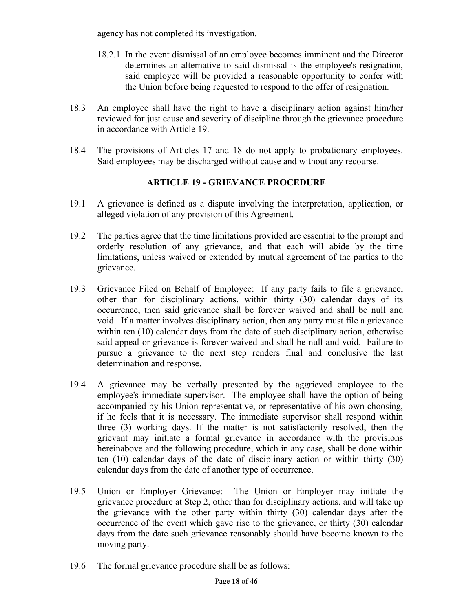agency has not completed its investigation.

- 18.2.1 In the event dismissal of an employee becomes imminent and the Director determines an alternative to said dismissal is the employee's resignation, said employee will be provided a reasonable opportunity to confer with the Union before being requested to respond to the offer of resignation.
- 18.3 An employee shall have the right to have a disciplinary action against him/her reviewed for just cause and severity of discipline through the grievance procedure in accordance with Article 19.
- 18.4 The provisions of Articles 17 and 18 do not apply to probationary employees. Said employees may be discharged without cause and without any recourse.

## **ARTICLE 19 - GRIEVANCE PROCEDURE**

- 19.1 A grievance is defined as a dispute involving the interpretation, application, or alleged violation of any provision of this Agreement.
- 19.2 The parties agree that the time limitations provided are essential to the prompt and orderly resolution of any grievance, and that each will abide by the time limitations, unless waived or extended by mutual agreement of the parties to the grievance.
- 19.3 Grievance Filed on Behalf of Employee: If any party fails to file a grievance, other than for disciplinary actions, within thirty (30) calendar days of its occurrence, then said grievance shall be forever waived and shall be null and void. If a matter involves disciplinary action, then any party must file a grievance within ten (10) calendar days from the date of such disciplinary action, otherwise said appeal or grievance is forever waived and shall be null and void. Failure to pursue a grievance to the next step renders final and conclusive the last determination and response.
- 19.4 A grievance may be verbally presented by the aggrieved employee to the employee's immediate supervisor. The employee shall have the option of being accompanied by his Union representative, or representative of his own choosing, if he feels that it is necessary. The immediate supervisor shall respond within three (3) working days. If the matter is not satisfactorily resolved, then the grievant may initiate a formal grievance in accordance with the provisions hereinabove and the following procedure, which in any case, shall be done within ten (10) calendar days of the date of disciplinary action or within thirty (30) calendar days from the date of another type of occurrence.
- 19.5 Union or Employer Grievance: The Union or Employer may initiate the grievance procedure at Step 2, other than for disciplinary actions, and will take up the grievance with the other party within thirty (30) calendar days after the occurrence of the event which gave rise to the grievance, or thirty (30) calendar days from the date such grievance reasonably should have become known to the moving party.
- 19.6 The formal grievance procedure shall be as follows: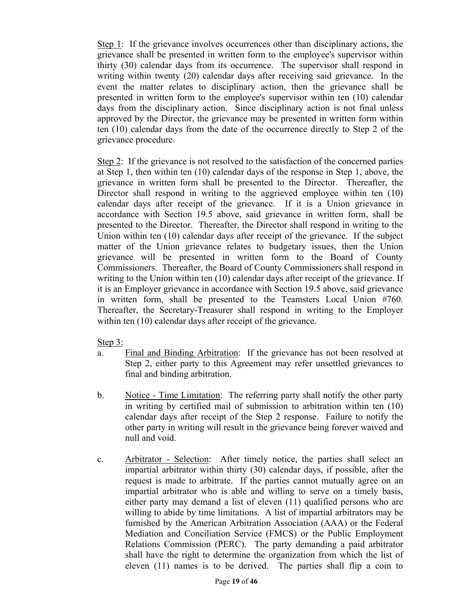Step 1: If the grievance involves occurrences other than disciplinary actions, the grievance shall be presented in written form to the employee's supervisor within thirty (30) calendar days from its occurrence. The supervisor shall respond in writing within twenty (20) calendar days after receiving said grievance. In the event the matter relates to disciplinary action, then the grievance shall be presented in written form to the employee's supervisor within ten (10) calendar days from the disciplinary action. Since disciplinary action is not final unless approved by the Director, the grievance may be presented in written form within ten (10) calendar days from the date of the occurrence directly to Step 2 of the grievance procedure.

Step 2: If the grievance is not resolved to the satisfaction of the concerned parties at Step 1, then within ten (10) calendar days of the response in Step 1, above, the grievance in written form shall be presented to the Director. Thereafter, the Director shall respond in writing to the aggrieved employee within ten (10) calendar days after receipt of the grievance. If it is a Union grievance in accordance with Section 19.5 above, said grievance in written form, shall be presented to the Director. Thereafter, the Director shall respond in writing to the Union within ten (10) calendar days after receipt of the grievance. If the subject matter of the Union grievance relates to budgetary issues, then the Union grievance will be presented in written form to the Board of County Commissioners. Thereafter, the Board of County Commissioners shall respond in writing to the Union within ten (10) calendar days after receipt of the grievance. If it is an Employer grievance in accordance with Section 19.5 above, said grievance in written form, shall be presented to the Teamsters Local Union #760. Thereafter, the Secretary-Treasurer shall respond in writing to the Employer within ten (10) calendar days after receipt of the grievance.

Step 3:

- a. Final and Binding Arbitration: If the grievance has not been resolved at Step 2, either party to this Agreement may refer unsettled grievances to final and binding arbitration.
- b. Notice Time Limitation: The referring party shall notify the other party in writing by certified mail of submission to arbitration within ten (10) calendar days after receipt of the Step 2 response. Failure to notify the other party in writing will result in the grievance being forever waived and null and void.
- c. Arbitrator Selection: After timely notice, the parties shall select an impartial arbitrator within thirty (30) calendar days, if possible, after the request is made to arbitrate. If the parties cannot mutually agree on an impartial arbitrator who is able and willing to serve on a timely basis, either party may demand a list of eleven (11) qualified persons who are willing to abide by time limitations. A list of impartial arbitrators may be furnished by the American Arbitration Association (AAA) or the Federal Mediation and Conciliation Service (FMCS) or the Public Employment Relations Commission (PERC). The party demanding a paid arbitrator shall have the right to determine the organization from which the list of eleven (11) names is to be derived. The parties shall flip a coin to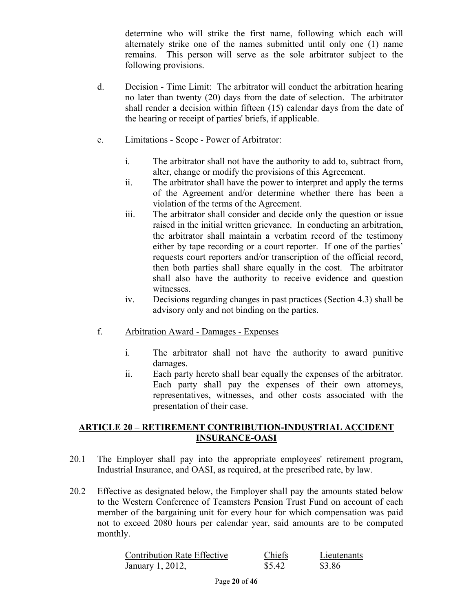determine who will strike the first name, following which each will alternately strike one of the names submitted until only one (1) name remains. This person will serve as the sole arbitrator subject to the following provisions.

d. Decision - Time Limit: The arbitrator will conduct the arbitration hearing no later than twenty (20) days from the date of selection. The arbitrator shall render a decision within fifteen (15) calendar days from the date of the hearing or receipt of parties' briefs, if applicable.

## e. Limitations - Scope - Power of Arbitrator:

- i. The arbitrator shall not have the authority to add to, subtract from, alter, change or modify the provisions of this Agreement.
- ii. The arbitrator shall have the power to interpret and apply the terms of the Agreement and/or determine whether there has been a violation of the terms of the Agreement.
- iii. The arbitrator shall consider and decide only the question or issue raised in the initial written grievance. In conducting an arbitration, the arbitrator shall maintain a verbatim record of the testimony either by tape recording or a court reporter. If one of the parties' requests court reporters and/or transcription of the official record, then both parties shall share equally in the cost. The arbitrator shall also have the authority to receive evidence and question witnesses.
- iv. Decisions regarding changes in past practices (Section 4.3) shall be advisory only and not binding on the parties.
- f. Arbitration Award Damages Expenses
	- i. The arbitrator shall not have the authority to award punitive damages.
	- ii. Each party hereto shall bear equally the expenses of the arbitrator. Each party shall pay the expenses of their own attorneys, representatives, witnesses, and other costs associated with the presentation of their case.

## **ARTICLE 20 – RETIREMENT CONTRIBUTION-INDUSTRIAL ACCIDENT INSURANCE-OASI**

- 20.1 The Employer shall pay into the appropriate employees' retirement program, Industrial Insurance, and OASI, as required, at the prescribed rate, by law.
- 20.2 Effective as designated below, the Employer shall pay the amounts stated below to the Western Conference of Teamsters Pension Trust Fund on account of each member of the bargaining unit for every hour for which compensation was paid not to exceed 2080 hours per calendar year, said amounts are to be computed monthly.

| <b>Contribution Rate Effective</b> | <b>Chiefs</b> | Lieutenants |
|------------------------------------|---------------|-------------|
| January 1, 2012,                   | \$5.42        | \$3.86      |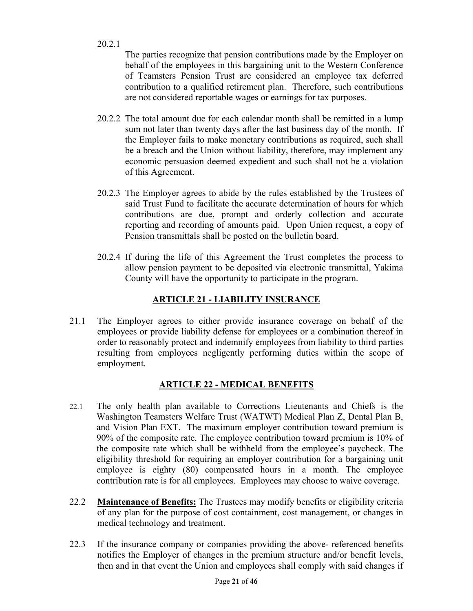20.2.1

The parties recognize that pension contributions made by the Employer on behalf of the employees in this bargaining unit to the Western Conference of Teamsters Pension Trust are considered an employee tax deferred contribution to a qualified retirement plan. Therefore, such contributions are not considered reportable wages or earnings for tax purposes.

- 20.2.2 The total amount due for each calendar month shall be remitted in a lump sum not later than twenty days after the last business day of the month. If the Employer fails to make monetary contributions as required, such shall be a breach and the Union without liability, therefore, may implement any economic persuasion deemed expedient and such shall not be a violation of this Agreement.
- 20.2.3 The Employer agrees to abide by the rules established by the Trustees of said Trust Fund to facilitate the accurate determination of hours for which contributions are due, prompt and orderly collection and accurate reporting and recording of amounts paid. Upon Union request, a copy of Pension transmittals shall be posted on the bulletin board.
- 20.2.4 If during the life of this Agreement the Trust completes the process to allow pension payment to be deposited via electronic transmittal, Yakima County will have the opportunity to participate in the program.

# **ARTICLE 21 - LIABILITY INSURANCE**

21.1 The Employer agrees to either provide insurance coverage on behalf of the employees or provide liability defense for employees or a combination thereof in order to reasonably protect and indemnify employees from liability to third parties resulting from employees negligently performing duties within the scope of employment.

# **ARTICLE 22 - MEDICAL BENEFITS**

- 22.1 The only health plan available to Corrections Lieutenants and Chiefs is the Washington Teamsters Welfare Trust (WATWT) Medical Plan Z, Dental Plan B, and Vision Plan EXT. The maximum employer contribution toward premium is 90% of the composite rate. The employee contribution toward premium is 10% of the composite rate which shall be withheld from the employee's paycheck. The eligibility threshold for requiring an employer contribution for a bargaining unit employee is eighty (80) compensated hours in a month. The employee contribution rate is for all employees. Employees may choose to waive coverage.
- 22.2 **Maintenance of Benefits:** The Trustees may modify benefits or eligibility criteria of any plan for the purpose of cost containment, cost management, or changes in medical technology and treatment.
- 22.3 If the insurance company or companies providing the above- referenced benefits notifies the Employer of changes in the premium structure and/or benefit levels, then and in that event the Union and employees shall comply with said changes if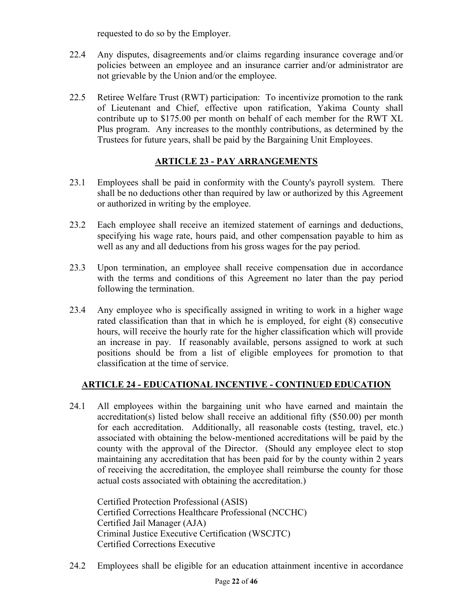requested to do so by the Employer.

- 22.4 Any disputes, disagreements and/or claims regarding insurance coverage and/or policies between an employee and an insurance carrier and/or administrator are not grievable by the Union and/or the employee.
- 22.5 Retiree Welfare Trust (RWT) participation: To incentivize promotion to the rank of Lieutenant and Chief, effective upon ratification, Yakima County shall contribute up to \$175.00 per month on behalf of each member for the RWT XL Plus program. Any increases to the monthly contributions, as determined by the Trustees for future years, shall be paid by the Bargaining Unit Employees.

# **ARTICLE 23 - PAY ARRANGEMENTS**

- 23.1 Employees shall be paid in conformity with the County's payroll system. There shall be no deductions other than required by law or authorized by this Agreement or authorized in writing by the employee.
- 23.2 Each employee shall receive an itemized statement of earnings and deductions, specifying his wage rate, hours paid, and other compensation payable to him as well as any and all deductions from his gross wages for the pay period.
- 23.3 Upon termination, an employee shall receive compensation due in accordance with the terms and conditions of this Agreement no later than the pay period following the termination.
- 23.4 Any employee who is specifically assigned in writing to work in a higher wage rated classification than that in which he is employed, for eight (8) consecutive hours, will receive the hourly rate for the higher classification which will provide an increase in pay. If reasonably available, persons assigned to work at such positions should be from a list of eligible employees for promotion to that classification at the time of service.

# **ARTICLE 24 - EDUCATIONAL INCENTIVE - CONTINUED EDUCATION**

24.1 All employees within the bargaining unit who have earned and maintain the accreditation(s) listed below shall receive an additional fifty (\$50.00) per month for each accreditation. Additionally, all reasonable costs (testing, travel, etc.) associated with obtaining the below-mentioned accreditations will be paid by the county with the approval of the Director. (Should any employee elect to stop maintaining any accreditation that has been paid for by the county within 2 years of receiving the accreditation, the employee shall reimburse the county for those actual costs associated with obtaining the accreditation.)

Certified Protection Professional (ASIS) Certified Corrections Healthcare Professional (NCCHC) Certified Jail Manager (AJA) Criminal Justice Executive Certification (WSCJTC) Certified Corrections Executive

24.2 Employees shall be eligible for an education attainment incentive in accordance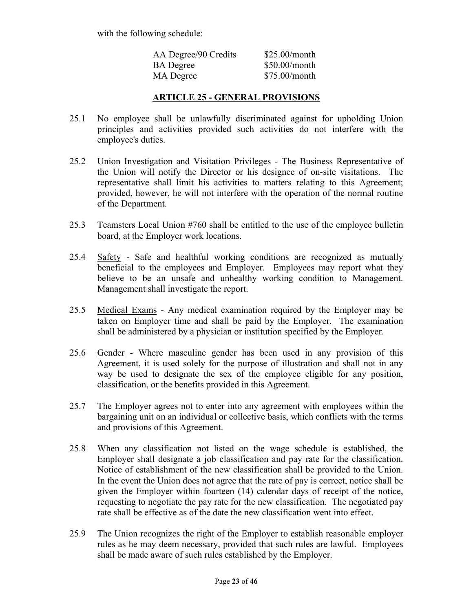with the following schedule:

| AA Degree/90 Credits | \$25.00/month   |
|----------------------|-----------------|
| <b>BA</b> Degree     | $$50.00/m$ onth |
| MA Degree            | $$75.00/m$ onth |

## **ARTICLE 25 - GENERAL PROVISIONS**

- 25.1 No employee shall be unlawfully discriminated against for upholding Union principles and activities provided such activities do not interfere with the employee's duties.
- 25.2 Union Investigation and Visitation Privileges The Business Representative of the Union will notify the Director or his designee of on-site visitations. The representative shall limit his activities to matters relating to this Agreement; provided, however, he will not interfere with the operation of the normal routine of the Department.
- 25.3 Teamsters Local Union #760 shall be entitled to the use of the employee bulletin board, at the Employer work locations.
- 25.4 Safety Safe and healthful working conditions are recognized as mutually beneficial to the employees and Employer. Employees may report what they believe to be an unsafe and unhealthy working condition to Management. Management shall investigate the report.
- 25.5 Medical Exams Any medical examination required by the Employer may be taken on Employer time and shall be paid by the Employer. The examination shall be administered by a physician or institution specified by the Employer.
- 25.6 Gender Where masculine gender has been used in any provision of this Agreement, it is used solely for the purpose of illustration and shall not in any way be used to designate the sex of the employee eligible for any position, classification, or the benefits provided in this Agreement.
- 25.7 The Employer agrees not to enter into any agreement with employees within the bargaining unit on an individual or collective basis, which conflicts with the terms and provisions of this Agreement.
- 25.8 When any classification not listed on the wage schedule is established, the Employer shall designate a job classification and pay rate for the classification. Notice of establishment of the new classification shall be provided to the Union. In the event the Union does not agree that the rate of pay is correct, notice shall be given the Employer within fourteen (14) calendar days of receipt of the notice, requesting to negotiate the pay rate for the new classification. The negotiated pay rate shall be effective as of the date the new classification went into effect.
- 25.9 The Union recognizes the right of the Employer to establish reasonable employer rules as he may deem necessary, provided that such rules are lawful. Employees shall be made aware of such rules established by the Employer.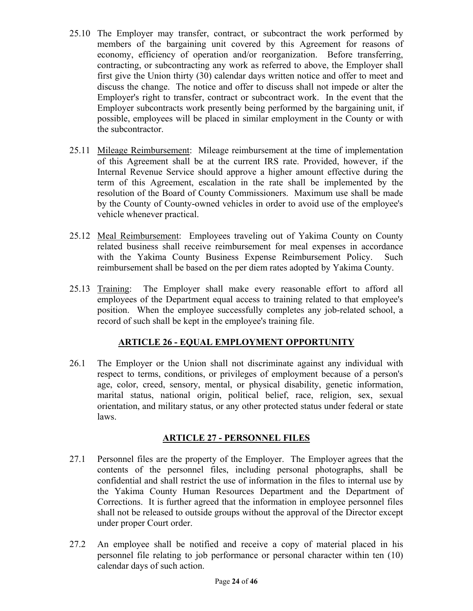- 25.10 The Employer may transfer, contract, or subcontract the work performed by members of the bargaining unit covered by this Agreement for reasons of economy, efficiency of operation and/or reorganization. Before transferring, contracting, or subcontracting any work as referred to above, the Employer shall first give the Union thirty (30) calendar days written notice and offer to meet and discuss the change. The notice and offer to discuss shall not impede or alter the Employer's right to transfer, contract or subcontract work. In the event that the Employer subcontracts work presently being performed by the bargaining unit, if possible, employees will be placed in similar employment in the County or with the subcontractor.
- 25.11 Mileage Reimbursement: Mileage reimbursement at the time of implementation of this Agreement shall be at the current IRS rate. Provided, however, if the Internal Revenue Service should approve a higher amount effective during the term of this Agreement, escalation in the rate shall be implemented by the resolution of the Board of County Commissioners. Maximum use shall be made by the County of County-owned vehicles in order to avoid use of the employee's vehicle whenever practical.
- 25.12 Meal Reimbursement: Employees traveling out of Yakima County on County related business shall receive reimbursement for meal expenses in accordance with the Yakima County Business Expense Reimbursement Policy. Such reimbursement shall be based on the per diem rates adopted by Yakima County.
- 25.13 Training: The Employer shall make every reasonable effort to afford all employees of the Department equal access to training related to that employee's position. When the employee successfully completes any job-related school, a record of such shall be kept in the employee's training file.

# **ARTICLE 26 - EQUAL EMPLOYMENT OPPORTUNITY**

26.1 The Employer or the Union shall not discriminate against any individual with respect to terms, conditions, or privileges of employment because of a person's age, color, creed, sensory, mental, or physical disability, genetic information, marital status, national origin, political belief, race, religion, sex, sexual orientation, and military status, or any other protected status under federal or state laws.

## **ARTICLE 27 - PERSONNEL FILES**

- 27.1 Personnel files are the property of the Employer. The Employer agrees that the contents of the personnel files, including personal photographs, shall be confidential and shall restrict the use of information in the files to internal use by the Yakima County Human Resources Department and the Department of Corrections. It is further agreed that the information in employee personnel files shall not be released to outside groups without the approval of the Director except under proper Court order.
- 27.2 An employee shall be notified and receive a copy of material placed in his personnel file relating to job performance or personal character within ten (10) calendar days of such action.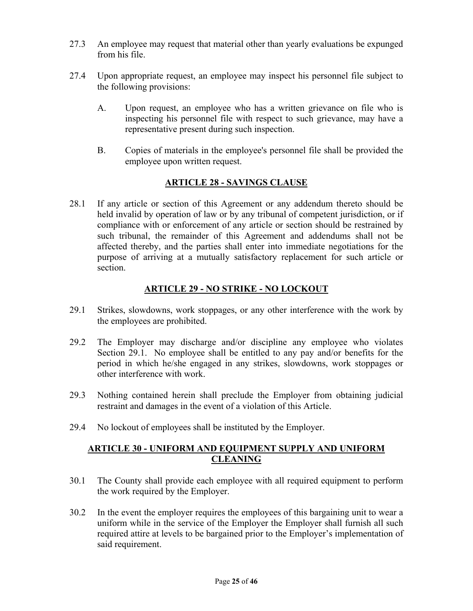- 27.3 An employee may request that material other than yearly evaluations be expunged from his file.
- 27.4 Upon appropriate request, an employee may inspect his personnel file subject to the following provisions:
	- A. Upon request, an employee who has a written grievance on file who is inspecting his personnel file with respect to such grievance, may have a representative present during such inspection.
	- B. Copies of materials in the employee's personnel file shall be provided the employee upon written request.

## **ARTICLE 28 - SAVINGS CLAUSE**

28.1 If any article or section of this Agreement or any addendum thereto should be held invalid by operation of law or by any tribunal of competent jurisdiction, or if compliance with or enforcement of any article or section should be restrained by such tribunal, the remainder of this Agreement and addendums shall not be affected thereby, and the parties shall enter into immediate negotiations for the purpose of arriving at a mutually satisfactory replacement for such article or section.

## **ARTICLE 29 - NO STRIKE - NO LOCKOUT**

- 29.1 Strikes, slowdowns, work stoppages, or any other interference with the work by the employees are prohibited.
- 29.2 The Employer may discharge and/or discipline any employee who violates Section 29.1. No employee shall be entitled to any pay and/or benefits for the period in which he/she engaged in any strikes, slowdowns, work stoppages or other interference with work.
- 29.3 Nothing contained herein shall preclude the Employer from obtaining judicial restraint and damages in the event of a violation of this Article.
- 29.4 No lockout of employees shall be instituted by the Employer.

## **ARTICLE 30 - UNIFORM AND EQUIPMENT SUPPLY AND UNIFORM CLEANING**

- 30.1 The County shall provide each employee with all required equipment to perform the work required by the Employer.
- 30.2 In the event the employer requires the employees of this bargaining unit to wear a uniform while in the service of the Employer the Employer shall furnish all such required attire at levels to be bargained prior to the Employer's implementation of said requirement.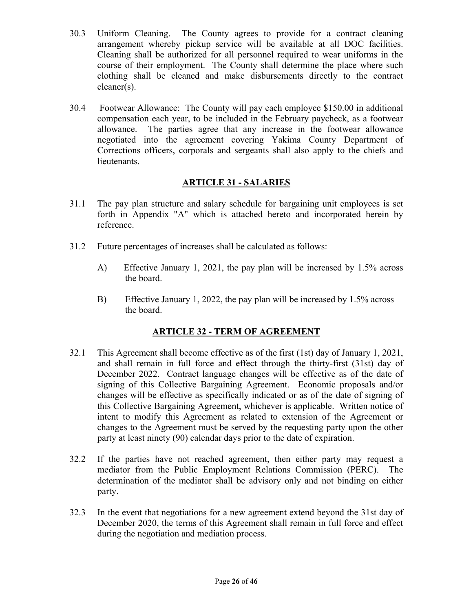- 30.3 Uniform Cleaning. The County agrees to provide for a contract cleaning arrangement whereby pickup service will be available at all DOC facilities. Cleaning shall be authorized for all personnel required to wear uniforms in the course of their employment. The County shall determine the place where such clothing shall be cleaned and make disbursements directly to the contract cleaner(s).
- 30.4 Footwear Allowance: The County will pay each employee \$150.00 in additional compensation each year, to be included in the February paycheck, as a footwear allowance. The parties agree that any increase in the footwear allowance negotiated into the agreement covering Yakima County Department of Corrections officers, corporals and sergeants shall also apply to the chiefs and lieutenants.

## **ARTICLE 31 - SALARIES**

- 31.1 The pay plan structure and salary schedule for bargaining unit employees is set forth in Appendix "A" which is attached hereto and incorporated herein by reference.
- 31.2 Future percentages of increases shall be calculated as follows:
	- A) Effective January 1, 2021, the pay plan will be increased by 1.5% across the board.
	- B) Effective January 1, 2022, the pay plan will be increased by 1.5% across the board.

# **ARTICLE 32 - TERM OF AGREEMENT**

- 32.1 This Agreement shall become effective as of the first (1st) day of January 1, 2021, and shall remain in full force and effect through the thirty-first (31st) day of December 2022. Contract language changes will be effective as of the date of signing of this Collective Bargaining Agreement. Economic proposals and/or changes will be effective as specifically indicated or as of the date of signing of this Collective Bargaining Agreement, whichever is applicable. Written notice of intent to modify this Agreement as related to extension of the Agreement or changes to the Agreement must be served by the requesting party upon the other party at least ninety (90) calendar days prior to the date of expiration.
- 32.2 If the parties have not reached agreement, then either party may request a mediator from the Public Employment Relations Commission (PERC). The determination of the mediator shall be advisory only and not binding on either party.
- 32.3 In the event that negotiations for a new agreement extend beyond the 31st day of December 2020, the terms of this Agreement shall remain in full force and effect during the negotiation and mediation process.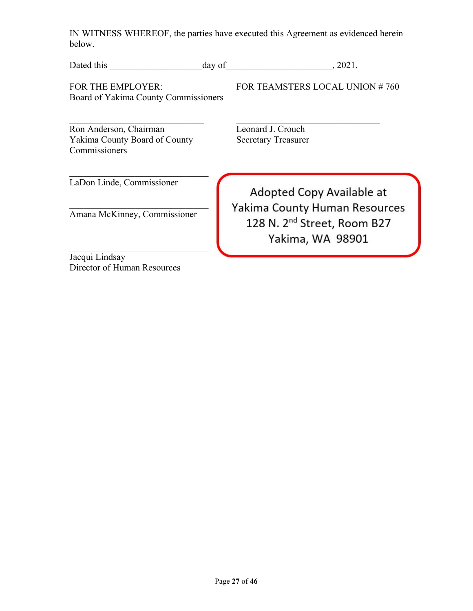IN WITNESS WHEREOF, the parties have executed this Agreement as evidenced herein below.

| Dated this                                                               | day of | . 2021.                                                     |
|--------------------------------------------------------------------------|--------|-------------------------------------------------------------|
| FOR THE EMPLOYER:<br>Board of Yakima County Commissioners                |        | FOR TEAMSTERS LOCAL UNION #760                              |
| Ron Anderson, Chairman<br>Yakima County Board of County<br>Commissioners |        | Leonard J. Crouch<br><b>Secretary Treasurer</b>             |
| LaDon Linde, Commissioner                                                |        | Adopted Copy Available at<br>Yakima County Human Resources  |
| Amana McKinney, Commissioner                                             |        | 128 N. 2 <sup>nd</sup> Street, Room B27<br>Yakima, WA 98901 |
| Jacqui Lindsay                                                           |        |                                                             |
| Director of Human Resources                                              |        |                                                             |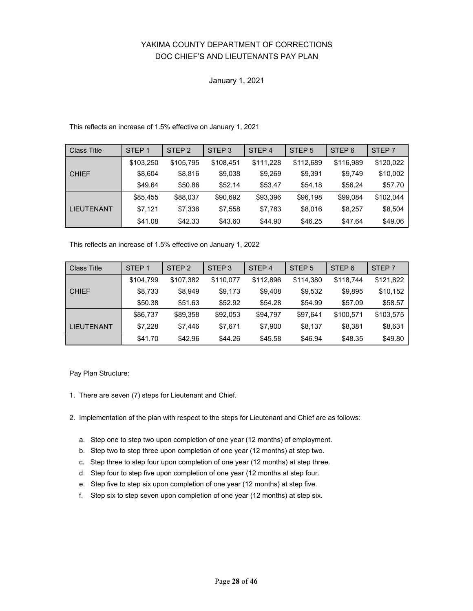## YAKIMA COUNTY DEPARTMENT OF CORRECTIONS DOC CHIEF'S AND LIEUTENANTS PAY PLAN

#### January 1, 2021

#### This reflects an increase of 1.5% effective on January 1, 2021

| Class Title  | STEP <sub>1</sub> | STEP <sub>2</sub> | STEP <sub>3</sub> | STEP <sub>4</sub> | STEP <sub>5</sub> | STEP <sub>6</sub> | STEP <sub>7</sub> |
|--------------|-------------------|-------------------|-------------------|-------------------|-------------------|-------------------|-------------------|
|              | \$103,250         | \$105,795         | \$108,451         | \$111,228         | \$112,689         | \$116,989         | \$120,022         |
| <b>CHIEF</b> | \$8,604           | \$8.816           | \$9,038           | \$9,269           | \$9,391           | \$9,749           | \$10,002          |
|              | \$49.64           | \$50.86           | \$52.14           | \$53.47           | \$54.18           | \$56.24           | \$57.70           |
|              | \$85,455          | \$88,037          | \$90,692          | \$93,396          | \$96,198          | \$99,084          | \$102,044         |
| LIEUTENANT   | \$7,121           | \$7.336           | \$7,558           | \$7.783           | \$8,016           | \$8,257           | \$8,504           |
|              | \$41.08           | \$42.33           | \$43.60           | \$44.90           | \$46.25           | \$47.64           | \$49.06           |

This reflects an increase of 1.5% effective on January 1, 2022

| <b>Class Title</b> | STEP <sub>1</sub> | STEP <sub>2</sub> | STEP <sub>3</sub> | STEP <sub>4</sub> | STEP <sub>5</sub> | STEP <sub>6</sub> | STEP <sub>7</sub> |
|--------------------|-------------------|-------------------|-------------------|-------------------|-------------------|-------------------|-------------------|
|                    | \$104,799         | \$107,382         | \$110,077         | \$112,896         | \$114,380         | \$118,744         | \$121,822         |
| <b>CHIEF</b>       | \$8,733           | \$8.949           | \$9,173           | \$9.408           | \$9,532           | \$9,895           | \$10,152          |
|                    | \$50.38           | \$51.63           | \$52.92           | \$54.28           | \$54.99           | \$57.09           | \$58.57           |
|                    | \$86,737          | \$89.358          | \$92,053          | \$94,797          | \$97.641          | \$100,571         | \$103,575         |
| <b>LIEUTENANT</b>  | \$7,228           | \$7.446           | \$7.671           | \$7.900           | \$8,137           | \$8,381           | \$8,631           |
|                    | \$41.70           | \$42.96           | \$44.26           | \$45.58           | \$46.94           | \$48.35           | \$49.80           |

Pay Plan Structure:

- 1. There are seven (7) steps for Lieutenant and Chief.
- 2. Implementation of the plan with respect to the steps for Lieutenant and Chief are as follows:
	- a. Step one to step two upon completion of one year (12 months) of employment.
	- b. Step two to step three upon completion of one year (12 months) at step two.
	- c. Step three to step four upon completion of one year (12 months) at step three.
	- d. Step four to step five upon completion of one year (12 months at step four.
	- e. Step five to step six upon completion of one year (12 months) at step five.
	- f. Step six to step seven upon completion of one year (12 months) at step six.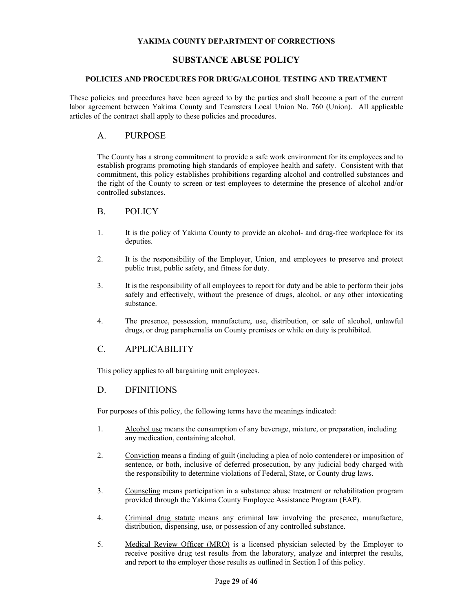### **SUBSTANCE ABUSE POLICY**

#### **POLICIES AND PROCEDURES FOR DRUG/ALCOHOL TESTING AND TREATMENT**

These policies and procedures have been agreed to by the parties and shall become a part of the current labor agreement between Yakima County and Teamsters Local Union No. 760 (Union). All applicable articles of the contract shall apply to these policies and procedures.

### A. PURPOSE

The County has a strong commitment to provide a safe work environment for its employees and to establish programs promoting high standards of employee health and safety. Consistent with that commitment, this policy establishes prohibitions regarding alcohol and controlled substances and the right of the County to screen or test employees to determine the presence of alcohol and/or controlled substances.

#### B. POLICY

- 1. It is the policy of Yakima County to provide an alcohol- and drug-free workplace for its deputies.
- 2. It is the responsibility of the Employer, Union, and employees to preserve and protect public trust, public safety, and fitness for duty.
- 3. It is the responsibility of all employees to report for duty and be able to perform their jobs safely and effectively, without the presence of drugs, alcohol, or any other intoxicating substance.
- 4. The presence, possession, manufacture, use, distribution, or sale of alcohol, unlawful drugs, or drug paraphernalia on County premises or while on duty is prohibited.

### C. APPLICABILITY

This policy applies to all bargaining unit employees.

### D. DFINITIONS

For purposes of this policy, the following terms have the meanings indicated:

- 1. Alcohol use means the consumption of any beverage, mixture, or preparation, including any medication, containing alcohol.
- 2. Conviction means a finding of guilt (including a plea of nolo contendere) or imposition of sentence, or both, inclusive of deferred prosecution, by any judicial body charged with the responsibility to determine violations of Federal, State, or County drug laws.
- 3. Counseling means participation in a substance abuse treatment or rehabilitation program provided through the Yakima County Employee Assistance Program (EAP).
- 4. Criminal drug statute means any criminal law involving the presence, manufacture, distribution, dispensing, use, or possession of any controlled substance.
- 5. Medical Review Officer (MRO) is a licensed physician selected by the Employer to receive positive drug test results from the laboratory, analyze and interpret the results, and report to the employer those results as outlined in Section I of this policy.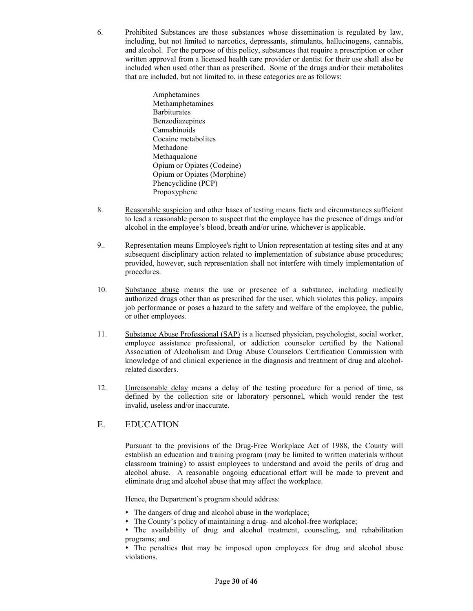6. Prohibited Substances are those substances whose dissemination is regulated by law, including, but not limited to narcotics, depressants, stimulants, hallucinogens, cannabis, and alcohol. For the purpose of this policy, substances that require a prescription or other written approval from a licensed health care provider or dentist for their use shall also be included when used other than as prescribed. Some of the drugs and/or their metabolites that are included, but not limited to, in these categories are as follows:

> Amphetamines Methamphetamines **Barbiturates** Benzodiazepines Cannabinoids Cocaine metabolites Methadone Methaqualone Opium or Opiates (Codeine) Opium or Opiates (Morphine) Phencyclidine (PCP) Propoxyphene

- 8. Reasonable suspicion and other bases of testing means facts and circumstances sufficient to lead a reasonable person to suspect that the employee has the presence of drugs and/or alcohol in the employee's blood, breath and/or urine, whichever is applicable.
- 9.. Representation means Employee's right to Union representation at testing sites and at any subsequent disciplinary action related to implementation of substance abuse procedures; provided, however, such representation shall not interfere with timely implementation of procedures.
- 10. Substance abuse means the use or presence of a substance, including medically authorized drugs other than as prescribed for the user, which violates this policy, impairs job performance or poses a hazard to the safety and welfare of the employee, the public, or other employees.
- 11. Substance Abuse Professional (SAP) is a licensed physician, psychologist, social worker, employee assistance professional, or addiction counselor certified by the National Association of Alcoholism and Drug Abuse Counselors Certification Commission with knowledge of and clinical experience in the diagnosis and treatment of drug and alcoholrelated disorders.
- 12. Unreasonable delay means a delay of the testing procedure for a period of time, as defined by the collection site or laboratory personnel, which would render the test invalid, useless and/or inaccurate.

## E. EDUCATION

Pursuant to the provisions of the Drug-Free Workplace Act of 1988, the County will establish an education and training program (may be limited to written materials without classroom training) to assist employees to understand and avoid the perils of drug and alcohol abuse. A reasonable ongoing educational effort will be made to prevent and eliminate drug and alcohol abuse that may affect the workplace.

Hence, the Department's program should address:

- The dangers of drug and alcohol abuse in the workplace;
- The County's policy of maintaining a drug- and alcohol-free workplace;
- The availability of drug and alcohol treatment, counseling, and rehabilitation programs; and

 The penalties that may be imposed upon employees for drug and alcohol abuse violations.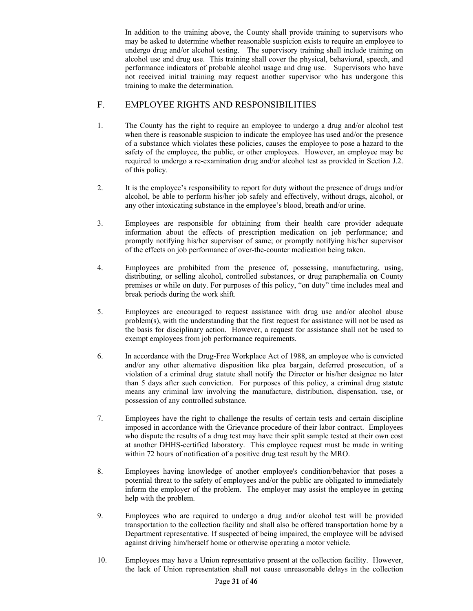In addition to the training above, the County shall provide training to supervisors who may be asked to determine whether reasonable suspicion exists to require an employee to undergo drug and/or alcohol testing. The supervisory training shall include training on alcohol use and drug use. This training shall cover the physical, behavioral, speech, and performance indicators of probable alcohol usage and drug use. Supervisors who have not received initial training may request another supervisor who has undergone this training to make the determination.

## F. EMPLOYEE RIGHTS AND RESPONSIBILITIES

- 1. The County has the right to require an employee to undergo a drug and/or alcohol test when there is reasonable suspicion to indicate the employee has used and/or the presence of a substance which violates these policies, causes the employee to pose a hazard to the safety of the employee, the public, or other employees. However, an employee may be required to undergo a re-examination drug and/or alcohol test as provided in Section J.2. of this policy.
- 2. It is the employee's responsibility to report for duty without the presence of drugs and/or alcohol, be able to perform his/her job safely and effectively, without drugs, alcohol, or any other intoxicating substance in the employee's blood, breath and/or urine.
- 3. Employees are responsible for obtaining from their health care provider adequate information about the effects of prescription medication on job performance; and promptly notifying his/her supervisor of same; or promptly notifying his/her supervisor of the effects on job performance of over-the-counter medication being taken.
- 4. Employees are prohibited from the presence of, possessing, manufacturing, using, distributing, or selling alcohol, controlled substances, or drug paraphernalia on County premises or while on duty. For purposes of this policy, "on duty" time includes meal and break periods during the work shift.
- 5. Employees are encouraged to request assistance with drug use and/or alcohol abuse problem(s), with the understanding that the first request for assistance will not be used as the basis for disciplinary action. However, a request for assistance shall not be used to exempt employees from job performance requirements.
- 6. In accordance with the Drug-Free Workplace Act of 1988, an employee who is convicted and/or any other alternative disposition like plea bargain, deferred prosecution, of a violation of a criminal drug statute shall notify the Director or his/her designee no later than 5 days after such conviction. For purposes of this policy, a criminal drug statute means any criminal law involving the manufacture, distribution, dispensation, use, or possession of any controlled substance.
- 7. Employees have the right to challenge the results of certain tests and certain discipline imposed in accordance with the Grievance procedure of their labor contract. Employees who dispute the results of a drug test may have their split sample tested at their own cost at another DHHS-certified laboratory. This employee request must be made in writing within 72 hours of notification of a positive drug test result by the MRO.
- 8. Employees having knowledge of another employee's condition/behavior that poses a potential threat to the safety of employees and/or the public are obligated to immediately inform the employer of the problem. The employer may assist the employee in getting help with the problem.
- 9. Employees who are required to undergo a drug and/or alcohol test will be provided transportation to the collection facility and shall also be offered transportation home by a Department representative. If suspected of being impaired, the employee will be advised against driving him/herself home or otherwise operating a motor vehicle.
- 10. Employees may have a Union representative present at the collection facility. However, the lack of Union representation shall not cause unreasonable delays in the collection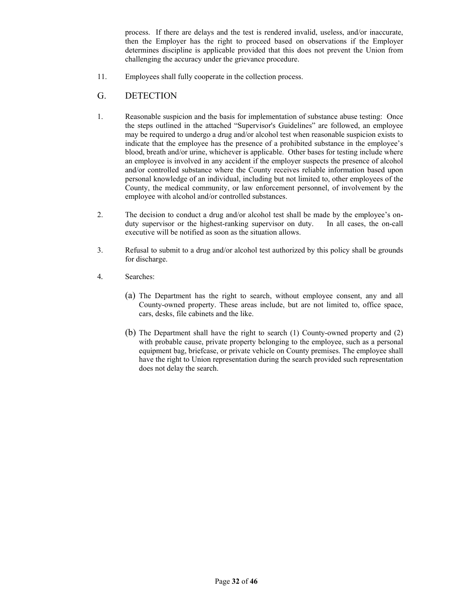process. If there are delays and the test is rendered invalid, useless, and/or inaccurate, then the Employer has the right to proceed based on observations if the Employer determines discipline is applicable provided that this does not prevent the Union from challenging the accuracy under the grievance procedure.

11. Employees shall fully cooperate in the collection process.

### G. DETECTION

- 1. Reasonable suspicion and the basis for implementation of substance abuse testing: Once the steps outlined in the attached "Supervisor's Guidelines" are followed, an employee may be required to undergo a drug and/or alcohol test when reasonable suspicion exists to indicate that the employee has the presence of a prohibited substance in the employee's blood, breath and/or urine, whichever is applicable. Other bases for testing include where an employee is involved in any accident if the employer suspects the presence of alcohol and/or controlled substance where the County receives reliable information based upon personal knowledge of an individual, including but not limited to, other employees of the County, the medical community, or law enforcement personnel, of involvement by the employee with alcohol and/or controlled substances.
- 2. The decision to conduct a drug and/or alcohol test shall be made by the employee's onduty supervisor or the highest-ranking supervisor on duty. In all cases, the on-call executive will be notified as soon as the situation allows.
- 3. Refusal to submit to a drug and/or alcohol test authorized by this policy shall be grounds for discharge.
- 4*.* Searches:
	- (a) The Department has the right to search, without employee consent, any and all County-owned property. These areas include, but are not limited to, office space, cars, desks, file cabinets and the like.
	- (b) The Department shall have the right to search (1) County-owned property and (2) with probable cause, private property belonging to the employee, such as a personal equipment bag, briefcase, or private vehicle on County premises. The employee shall have the right to Union representation during the search provided such representation does not delay the search.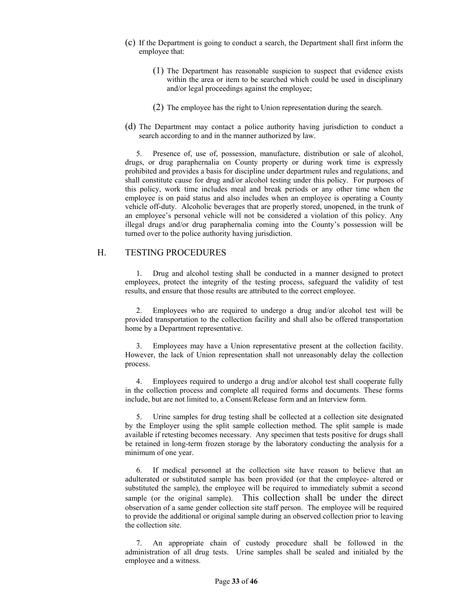- (c) If the Department is going to conduct a search, the Department shall first inform the employee that:
	- (1) The Department has reasonable suspicion to suspect that evidence exists within the area or item to be searched which could be used in disciplinary and/or legal proceedings against the employee;
	- (2) The employee has the right to Union representation during the search.
- (d) The Department may contact a police authority having jurisdiction to conduct a search according to and in the manner authorized by law.

5. Presence of, use of, possession, manufacture, distribution or sale of alcohol, drugs, or drug paraphernalia on County property or during work time is expressly prohibited and provides a basis for discipline under department rules and regulations, and shall constitute cause for drug and/or alcohol testing under this policy. For purposes of this policy, work time includes meal and break periods or any other time when the employee is on paid status and also includes when an employee is operating a County vehicle off-duty. Alcoholic beverages that are properly stored, unopened, in the trunk of an employee's personal vehicle will not be considered a violation of this policy. Any illegal drugs and/or drug paraphernalia coming into the County's possession will be turned over to the police authority having jurisdiction.

#### H. TESTING PROCEDURES

1. Drug and alcohol testing shall be conducted in a manner designed to protect employees, protect the integrity of the testing process, safeguard the validity of test results, and ensure that those results are attributed to the correct employee.

2. Employees who are required to undergo a drug and/or alcohol test will be provided transportation to the collection facility and shall also be offered transportation home by a Department representative.

Employees may have a Union representative present at the collection facility. However, the lack of Union representation shall not unreasonably delay the collection process.

4. Employees required to undergo a drug and/or alcohol test shall cooperate fully in the collection process and complete all required forms and documents. These forms include, but are not limited to, a Consent/Release form and an Interview form.

5. Urine samples for drug testing shall be collected at a collection site designated by the Employer using the split sample collection method. The split sample is made available if retesting becomes necessary. Any specimen that tests positive for drugs shall be retained in long-term frozen storage by the laboratory conducting the analysis for a minimum of one year.

If medical personnel at the collection site have reason to believe that an adulterated or substituted sample has been provided (or that the employee- altered or substituted the sample), the employee will be required to immediately submit a second sample (or the original sample). This collection shall be under the direct observation of a same gender collection site staff person. The employee will be required to provide the additional or original sample during an observed collection prior to leaving the collection site.

7. An appropriate chain of custody procedure shall be followed in the administration of all drug tests. Urine samples shall be sealed and initialed by the employee and a witness.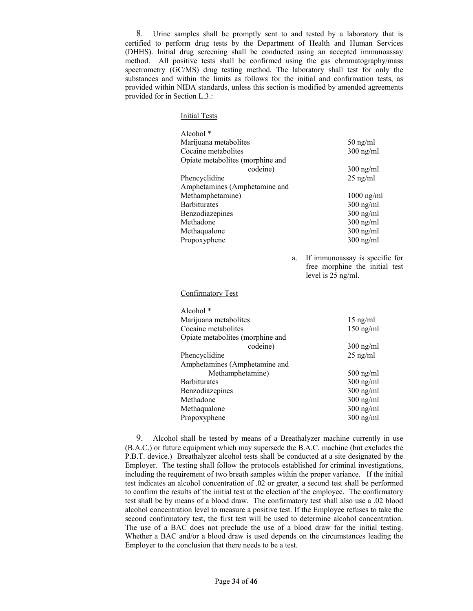8. Urine samples shall be promptly sent to and tested by a laboratory that is certified to perform drug tests by the Department of Health and Human Services (DHHS). Initial drug screening shall be conducted using an accepted immunoassay method. All positive tests shall be confirmed using the gas chromatography/mass spectrometry (GC/MS) drug testing method. The laboratory shall test for only the substances and within the limits as follows for the initial and confirmation tests, as provided within NIDA standards, unless this section is modified by amended agreements provided for in Section L.3.:

#### Initial Tests

| Alcohol <sup>*</sup>             |              |
|----------------------------------|--------------|
| Marijuana metabolites            | $50$ ng/ml   |
| Cocaine metabolites              | $300$ ng/ml  |
| Opiate metabolites (morphine and |              |
| codeine)                         | $300$ ng/ml  |
| Phencyclidine                    | $25$ ng/ml   |
| Amphetamines (Amphetamine and    |              |
| Methamphetamine)                 | $1000$ ng/ml |
| Barbiturates                     | $300$ ng/ml  |
| Benzodiazepines                  | $300$ ng/ml  |
| Methadone                        | $300$ ng/ml  |
| Methaqualone                     | $300$ ng/ml  |
| Propoxyphene                     | $300$ ng/ml  |
|                                  |              |

a. If immunoassay is specific for free morphine the initial test level is 25 ng/ml.

Confirmatory Test

| Alcohol $*$                      |             |
|----------------------------------|-------------|
| Marijuana metabolites            | $15$ ng/ml  |
| Cocaine metabolites              | $150$ ng/ml |
| Opiate metabolites (morphine and |             |
| codeine)                         | $300$ ng/ml |
| Phencyclidine                    | $25$ ng/ml  |
| Amphetamines (Amphetamine and    |             |
| Methamphetamine)                 | $500$ ng/ml |
| <b>Barbiturates</b>              | $300$ ng/ml |
| Benzodiazepines                  | $300$ ng/ml |
| Methadone                        | $300$ ng/ml |
| Methaqualone                     | $300$ ng/ml |
| Propoxyphene                     | $300$ ng/ml |

9. Alcohol shall be tested by means of a Breathalyzer machine currently in use (B.A.C.) or future equipment which may supersede the B.A.C. machine (but excludes the P.B.T. device.) Breathalyzer alcohol tests shall be conducted at a site designated by the Employer*.* The testing shall follow the protocols established for criminal investigations, including the requirement of two breath samples within the proper variance. If the initial test indicates an alcohol concentration of .02 or greater, a second test shall be performed to confirm the results of the initial test at the election of the employee. The confirmatory test shall be by means of a blood draw. The confirmatory test shall also use a .02 blood alcohol concentration level to measure a positive test. If the Employee refuses to take the second confirmatory test, the first test will be used to determine alcohol concentration. The use of a BAC does not preclude the use of a blood draw for the initial testing. Whether a BAC and/or a blood draw is used depends on the circumstances leading the Employer to the conclusion that there needs to be a test.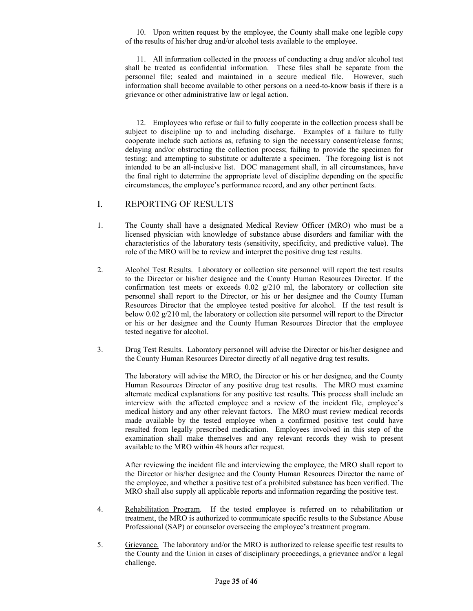10. Upon written request by the employee, the County shall make one legible copy of the results of his/her drug and/or alcohol tests available to the employee.

11. All information collected in the process of conducting a drug and/or alcohol test shall be treated as confidential information. These files shall be separate from the personnel file; sealed and maintained in a secure medical file. However, such information shall become available to other persons on a need-to-know basis if there is a grievance or other administrative law or legal action.

12. Employees who refuse or fail to fully cooperate in the collection process shall be subject to discipline up to and including discharge. Examples of a failure to fully cooperate include such actions as, refusing to sign the necessary consent/release forms; delaying and/or obstructing the collection process; failing to provide the specimen for testing; and attempting to substitute or adulterate a specimen. The foregoing list is not intended to be an all-inclusive list. DOC management shall, in all circumstances, have the final right to determine the appropriate level of discipline depending on the specific circumstances, the employee's performance record, and any other pertinent facts.

### I. REPORTING OF RESULTS

- 1. The County shall have a designated Medical Review Officer (MRO) who must be a licensed physician with knowledge of substance abuse disorders and familiar with the characteristics of the laboratory tests (sensitivity, specificity, and predictive value). The role of the MRO will be to review and interpret the positive drug test results.
- 2. Alcohol Test Results. Laboratory or collection site personnel will report the test results to the Director or his/her designee and the County Human Resources Director. If the confirmation test meets or exceeds  $0.02 \frac{g}{210}$  ml, the laboratory or collection site personnel shall report to the Director, or his or her designee and the County Human Resources Director that the employee tested positive for alcohol. If the test result is below 0.02 g/210 ml, the laboratory or collection site personnel will report to the Director or his or her designee and the County Human Resources Director that the employee tested negative for alcohol.
- 3. Drug Test Results. Laboratory personnel will advise the Director or his/her designee and the County Human Resources Director directly of all negative drug test results.

The laboratory will advise the MRO, the Director or his or her designee, and the County Human Resources Director of any positive drug test results. The MRO must examine alternate medical explanations for any positive test results. This process shall include an interview with the affected employee and a review of the incident file, employee's medical history and any other relevant factors. The MRO must review medical records made available by the tested employee when a confirmed positive test could have resulted from legally prescribed medication. Employees involved in this step of the examination shall make themselves and any relevant records they wish to present available to the MRO within 48 hours after request.

After reviewing the incident file and interviewing the employee, the MRO shall report to the Director or his/her designee and the County Human Resources Director the name of the employee, and whether a positive test of a prohibited substance has been verified. The MRO shall also supply all applicable reports and information regarding the positive test.

- 4. Rehabilitation Program. If the tested employee is referred on to rehabilitation or treatment, the MRO is authorized to communicate specific results to the Substance Abuse Professional (SAP) or counselor overseeing the employee's treatment program.
- 5. Grievance. The laboratory and/or the MRO is authorized to release specific test results to the County and the Union in cases of disciplinary proceedings, a grievance and/or a legal challenge.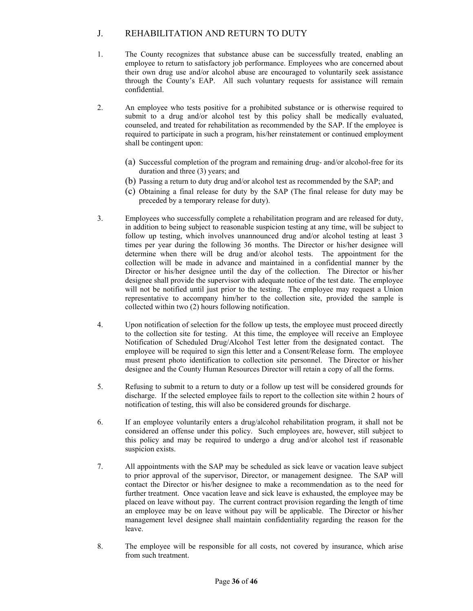## J. REHABILITATION AND RETURN TO DUTY

- 1. The County recognizes that substance abuse can be successfully treated, enabling an employee to return to satisfactory job performance. Employees who are concerned about their own drug use and/or alcohol abuse are encouraged to voluntarily seek assistance through the County's EAP. All such voluntary requests for assistance will remain confidential.
- 2. An employee who tests positive for a prohibited substance or is otherwise required to submit to a drug and/or alcohol test by this policy shall be medically evaluated, counseled, and treated for rehabilitation as recommended by the SAP. If the employee is required to participate in such a program, his/her reinstatement or continued employment shall be contingent upon:
	- (a) Successful completion of the program and remaining drug- and/or alcohol-free for its duration and three (3) years; and
	- (b) Passing a return to duty drug and/or alcohol test as recommended by the SAP; and
	- (c) Obtaining a final release for duty by the SAP (The final release for duty may be preceded by a temporary release for duty).
- 3. Employees who successfully complete a rehabilitation program and are released for duty, in addition to being subject to reasonable suspicion testing at any time, will be subject to follow up testing, which involves unannounced drug and/or alcohol testing at least 3 times per year during the following 36 months. The Director or his/her designee will determine when there will be drug and/or alcohol tests. The appointment for the collection will be made in advance and maintained in a confidential manner by the Director or his/her designee until the day of the collection. The Director or his/her designee shall provide the supervisor with adequate notice of the test date. The employee will not be notified until just prior to the testing. The employee may request a Union representative to accompany him/her to the collection site, provided the sample is collected within two (2) hours following notification.
- 4. Upon notification of selection for the follow up tests, the employee must proceed directly to the collection site for testing. At this time, the employee will receive an Employee Notification of Scheduled Drug/Alcohol Test letter from the designated contact. The employee will be required to sign this letter and a Consent/Release form. The employee must present photo identification to collection site personnel. The Director or his/her designee and the County Human Resources Director will retain a copy of all the forms.
- 5. Refusing to submit to a return to duty or a follow up test will be considered grounds for discharge. If the selected employee fails to report to the collection site within 2 hours of notification of testing, this will also be considered grounds for discharge.
- 6. If an employee voluntarily enters a drug/alcohol rehabilitation program, it shall not be considered an offense under this policy. Such employees are, however, still subject to this policy and may be required to undergo a drug and/or alcohol test if reasonable suspicion exists.
- 7. All appointments with the SAP may be scheduled as sick leave or vacation leave subject to prior approval of the supervisor, Director, or management designee. The SAP will contact the Director or his/her designee to make a recommendation as to the need for further treatment. Once vacation leave and sick leave is exhausted, the employee may be placed on leave without pay. The current contract provision regarding the length of time an employee may be on leave without pay will be applicable. The Director or his/her management level designee shall maintain confidentiality regarding the reason for the leave.
- 8. The employee will be responsible for all costs, not covered by insurance, which arise from such treatment.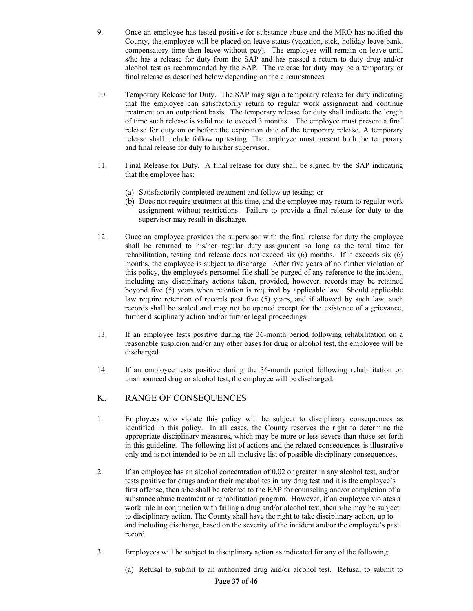- 9. Once an employee has tested positive for substance abuse and the MRO has notified the County, the employee will be placed on leave status (vacation, sick, holiday leave bank, compensatory time then leave without pay). The employee will remain on leave until s/he has a release for duty from the SAP and has passed a return to duty drug and/or alcohol test as recommended by the SAP. The release for duty may be a temporary or final release as described below depending on the circumstances.
- 10. Temporary Release for Duty. The SAP may sign a temporary release for duty indicating that the employee can satisfactorily return to regular work assignment and continue treatment on an outpatient basis. The temporary release for duty shall indicate the length of time such release is valid not to exceed 3 months. The employee must present a final release for duty on or before the expiration date of the temporary release. A temporary release shall include follow up testing. The employee must present both the temporary and final release for duty to his/her supervisor.
- 11. Final Release for Duty. A final release for duty shall be signed by the SAP indicating that the employee has:
	- (a) Satisfactorily completed treatment and follow up testing; or
	- (b) Does not require treatment at this time, and the employee may return to regular work assignment without restrictions. Failure to provide a final release for duty to the supervisor may result in discharge.
- 12. Once an employee provides the supervisor with the final release for duty the employee shall be returned to his/her regular duty assignment so long as the total time for rehabilitation, testing and release does not exceed six (6) months. If it exceeds six (6) months, the employee is subject to discharge. After five years of no further violation of this policy, the employee's personnel file shall be purged of any reference to the incident, including any disciplinary actions taken, provided, however, records may be retained beyond five (5) years when retention is required by applicable law. Should applicable law require retention of records past five (5) years, and if allowed by such law, such records shall be sealed and may not be opened except for the existence of a grievance, further disciplinary action and/or further legal proceedings.
- 13. If an employee tests positive during the 36-month period following rehabilitation on a reasonable suspicion and/or any other bases for drug or alcohol test, the employee will be discharged*.*
- 14. If an employee tests positive during the 36-month period following rehabilitation on unannounced drug or alcohol test, the employee will be discharged.
- K. RANGE OF CONSEQUENCES
- 1. Employees who violate this policy will be subject to disciplinary consequences as identified in this policy. In all cases, the County reserves the right to determine the appropriate disciplinary measures, which may be more or less severe than those set forth in this guideline. The following list of actions and the related consequences is illustrative only and is not intended to be an all-inclusive list of possible disciplinary consequences.
- 2. If an employee has an alcohol concentration of 0.02 or greater in any alcohol test, and/or tests positive for drugs and/or their metabolites in any drug test and it is the employee's first offense, then s/he shall be referred to the EAP for counseling and/or completion of a substance abuse treatment or rehabilitation program. However, if an employee violates a work rule in conjunction with failing a drug and/or alcohol test, then s/he may be subject to disciplinary action. The County shall have the right to take disciplinary action, up to and including discharge, based on the severity of the incident and/or the employee's past record.
- 3. Employees will be subject to disciplinary action as indicated for any of the following:
	- (a) Refusal to submit to an authorized drug and/or alcohol test. Refusal to submit to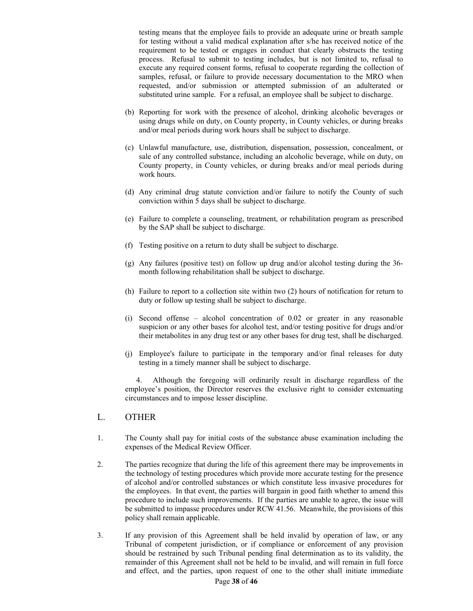testing means that the employee fails to provide an adequate urine or breath sample for testing without a valid medical explanation after s/he has received notice of the requirement to be tested or engages in conduct that clearly obstructs the testing process. Refusal to submit to testing includes, but is not limited to, refusal to execute any required consent forms, refusal to cooperate regarding the collection of samples, refusal, or failure to provide necessary documentation to the MRO when requested, and/or submission or attempted submission of an adulterated or substituted urine sample. For a refusal, an employee shall be subject to discharge.

- (b) Reporting for work with the presence of alcohol, drinking alcoholic beverages or using drugs while on duty, on County property, in County vehicles, or during breaks and/or meal periods during work hours shall be subject to discharge.
- (c) Unlawful manufacture, use, distribution, dispensation, possession, concealment, or sale of any controlled substance, including an alcoholic beverage, while on duty, on County property, in County vehicles, or during breaks and/or meal periods during work hours.
- (d) Any criminal drug statute conviction and/or failure to notify the County of such conviction within 5 days shall be subject to discharge.
- (e) Failure to complete a counseling, treatment, or rehabilitation program as prescribed by the SAP shall be subject to discharge.
- (f) Testing positive on a return to duty shall be subject to discharge.
- (g) Any failures (positive test) on follow up drug and/or alcohol testing during the 36 month following rehabilitation shall be subject to discharge.
- (h) Failure to report to a collection site within two (2) hours of notification for return to duty or follow up testing shall be subject to discharge.
- (i) Second offense alcohol concentration of 0.02 or greater in any reasonable suspicion or any other bases for alcohol test, and/or testing positive for drugs and/or their metabolites in any drug test or any other bases for drug test, shall be discharged.
- (j) Employee's failure to participate in the temporary and/or final releases for duty testing in a timely manner shall be subject to discharge.

4. Although the foregoing will ordinarily result in discharge regardless of the employee's position, the Director reserves the exclusive right to consider extenuating circumstances and to impose lesser discipline.

#### L. OTHER

- 1. The County shall pay for initial costs of the substance abuse examination including the expenses of the Medical Review Officer.
- 2. The parties recognize that during the life of this agreement there may be improvements in the technology of testing procedures which provide more accurate testing for the presence of alcohol and/or controlled substances or which constitute less invasive procedures for the employees. In that event, the parties will bargain in good faith whether to amend this procedure to include such improvements. If the parties are unable to agree, the issue will be submitted to impasse procedures under RCW 41.56. Meanwhile, the provisions of this policy shall remain applicable.
- 3. If any provision of this Agreement shall be held invalid by operation of law, or any Tribunal of competent jurisdiction, or if compliance or enforcement of any provision should be restrained by such Tribunal pending final determination as to its validity, the remainder of this Agreement shall not be held to be invalid, and will remain in full force and effect, and the parties, upon request of one to the other shall initiate immediate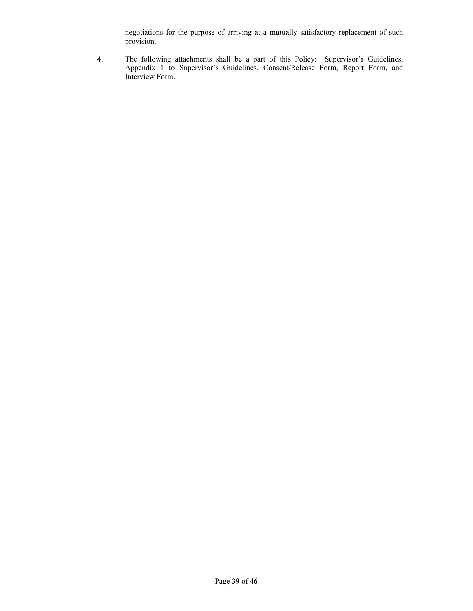negotiations for the purpose of arriving at a mutually satisfactory replacement of such provision.

4. The following attachments shall be a part of this Policy: Supervisor's Guidelines, Appendix 1 to Supervisor's Guidelines, Consent/Release Form, Report Form, and Interview Form.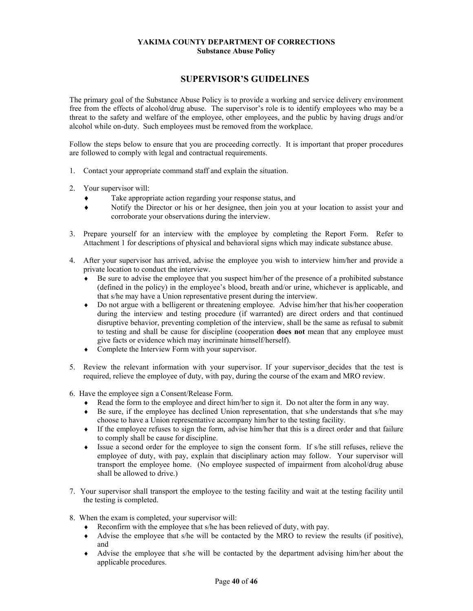#### **YAKIMA COUNTY DEPARTMENT OF CORRECTIONS Substance Abuse Policy**

### **SUPERVISOR'S GUIDELINES**

The primary goal of the Substance Abuse Policy is to provide a working and service delivery environment free from the effects of alcohol/drug abuse. The supervisor's role is to identify employees who may be a threat to the safety and welfare of the employee, other employees, and the public by having drugs and/or alcohol while on-duty. Such employees must be removed from the workplace.

Follow the steps below to ensure that you are proceeding correctly. It is important that proper procedures are followed to comply with legal and contractual requirements.

- 1. Contact your appropriate command staff and explain the situation.
- 2. Your supervisor will:
	- Take appropriate action regarding your response status, and
	- Notify the Director or his or her designee, then join you at your location to assist your and corroborate your observations during the interview.
- 3. Prepare yourself for an interview with the employee by completing the Report Form. Refer to Attachment 1 for descriptions of physical and behavioral signs which may indicate substance abuse.
- 4. After your supervisor has arrived, advise the employee you wish to interview him/her and provide a private location to conduct the interview.
	- $\bullet$  Be sure to advise the employee that you suspect him/her of the presence of a prohibited substance (defined in the policy) in the employee's blood, breath and/or urine, whichever is applicable, and that s/he may have a Union representative present during the interview.
	- Do not argue with a belligerent or threatening employee. Advise him/her that his/her cooperation during the interview and testing procedure (if warranted) are direct orders and that continued disruptive behavior, preventing completion of the interview, shall be the same as refusal to submit to testing and shall be cause for discipline (cooperation **does not** mean that any employee must give facts or evidence which may incriminate himself/herself).
	- Complete the Interview Form with your supervisor.
- 5. Review the relevant information with your supervisor. If your supervisor decides that the test is required, relieve the employee of duty, with pay, during the course of the exam and MRO review.
- 6. Have the employee sign a Consent/Release Form.
	- Read the form to the employee and direct him/her to sign it. Do not alter the form in any way.
	- Be sure, if the employee has declined Union representation, that s/he understands that s/he may choose to have a Union representative accompany him/her to the testing facility.
	- If the employee refuses to sign the form, advise him/her that this is a direct order and that failure to comply shall be cause for discipline.
	- Issue a second order for the employee to sign the consent form. If s/he still refuses, relieve the employee of duty, with pay, explain that disciplinary action may follow. Your supervisor will transport the employee home. (No employee suspected of impairment from alcohol/drug abuse shall be allowed to drive.)
- 7. Your supervisor shall transport the employee to the testing facility and wait at the testing facility until the testing is completed.
- 8. When the exam is completed, your supervisor will:
	- Reconfirm with the employee that s/he has been relieved of duty, with pay.
	- Advise the employee that s/he will be contacted by the MRO to review the results (if positive), and
	- Advise the employee that s/he will be contacted by the department advising him/her about the applicable procedures.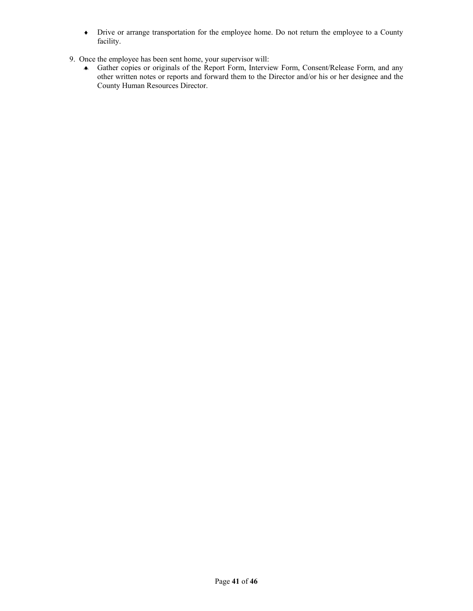- Drive or arrange transportation for the employee home. Do not return the employee to a County facility.
- 9. Once the employee has been sent home, your supervisor will:
	- Gather copies or originals of the Report Form, Interview Form, Consent/Release Form, and any other written notes or reports and forward them to the Director and/or his or her designee and the County Human Resources Director.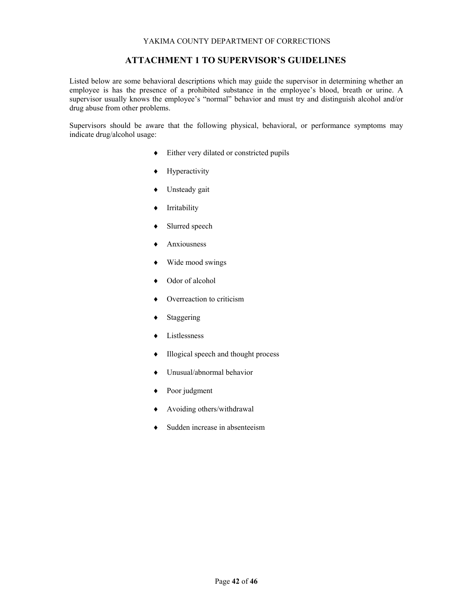### **ATTACHMENT 1 TO SUPERVISOR'S GUIDELINES**

Listed below are some behavioral descriptions which may guide the supervisor in determining whether an employee is has the presence of a prohibited substance in the employee's blood, breath or urine. A supervisor usually knows the employee's "normal" behavior and must try and distinguish alcohol and/or drug abuse from other problems.

Supervisors should be aware that the following physical, behavioral, or performance symptoms may indicate drug/alcohol usage:

- Either very dilated or constricted pupils
- Hyperactivity
- Unsteady gait
- Irritability
- Slurred speech
- Anxiousness
- Wide mood swings
- Odor of alcohol
- Overreaction to criticism
- Staggering
- Listlessness
- Illogical speech and thought process
- Unusual/abnormal behavior
- Poor judgment
- Avoiding others/withdrawal
- Sudden increase in absenteeism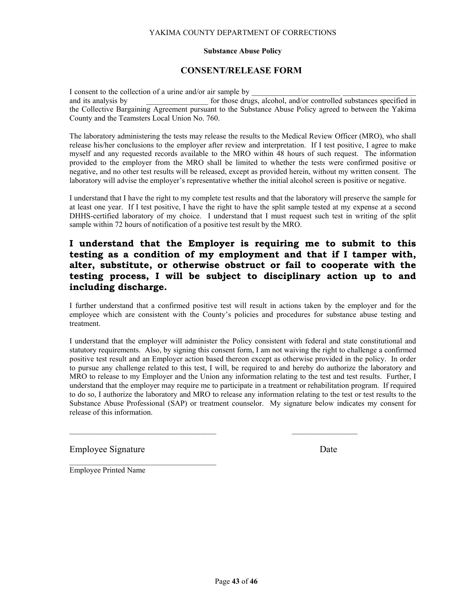#### **Substance Abuse Policy**

## **CONSENT/RELEASE FORM**

I consent to the collection of a urine and/or air sample by and its analysis by **the substances** specified in the state of those drugs, alcohol, and/or controlled substances specified in the Collective Bargaining Agreement pursuant to the Substance Abuse Policy agreed to between the Yakima County and the Teamsters Local Union No. 760.

The laboratory administering the tests may release the results to the Medical Review Officer (MRO), who shall release his/her conclusions to the employer after review and interpretation. If I test positive, I agree to make myself and any requested records available to the MRO within 48 hours of such request. The information provided to the employer from the MRO shall be limited to whether the tests were confirmed positive or negative, and no other test results will be released, except as provided herein, without my written consent. The laboratory will advise the employer's representative whether the initial alcohol screen is positive or negative.

I understand that I have the right to my complete test results and that the laboratory will preserve the sample for at least one year. If I test positive, I have the right to have the split sample tested at my expense at a second DHHS-certified laboratory of my choice. I understand that I must request such test in writing of the split sample within 72 hours of notification of a positive test result by the MRO.

## **I understand that the Employer is requiring me to submit to this testing as a condition of my employment and that if I tamper with, alter, substitute, or otherwise obstruct or fail to cooperate with the testing process, I will be subject to disciplinary action up to and including discharge.**

I further understand that a confirmed positive test will result in actions taken by the employer and for the employee which are consistent with the County's policies and procedures for substance abuse testing and treatment.

I understand that the employer will administer the Policy consistent with federal and state constitutional and statutory requirements. Also, by signing this consent form, I am not waiving the right to challenge a confirmed positive test result and an Employer action based thereon except as otherwise provided in the policy. In order to pursue any challenge related to this test, I will, be required to and hereby do authorize the laboratory and MRO to release to my Employer and the Union any information relating to the test and test results. Further, I understand that the employer may require me to participate in a treatment or rehabilitation program. If required to do so, I authorize the laboratory and MRO to release any information relating to the test or test results to the Substance Abuse Professional (SAP) or treatment counselor. My signature below indicates my consent for release of this information.

 $\mathcal{L}_\text{max}$  , and the contribution of the contribution of the contribution of the contribution of the contribution of the contribution of the contribution of the contribution of the contribution of the contribution of t

Employee Signature Date

Employee Printed Name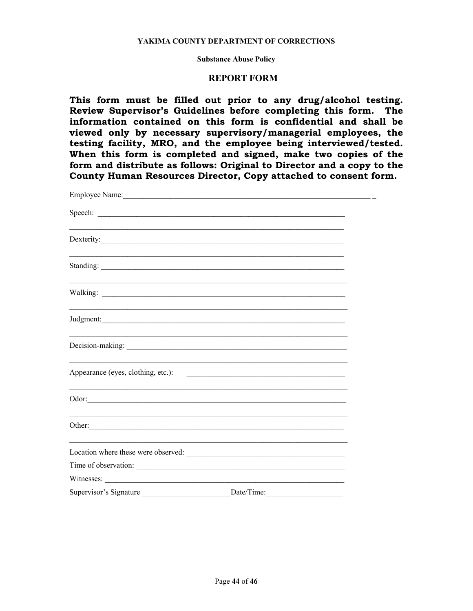#### **Substance Abuse Policy**

### **REPORT FORM**

**This form must be filled out prior to any drug/alcohol testing. Review Supervisor's Guidelines before completing this form. The information contained on this form is confidential and shall be viewed only by necessary supervisory/managerial employees, the testing facility, MRO, and the employee being interviewed/tested. When this form is completed and signed, make two copies of the form and distribute as follows: Original to Director and a copy to the County Human Resources Director, Copy attached to consent form.** 

| Decision-making:                   |                                                                                                                      |  |
|------------------------------------|----------------------------------------------------------------------------------------------------------------------|--|
| Appearance (eyes, clothing, etc.): | <u> 2008 - Johann John Stone, mars and de la provincia de la provincia de la provincia de la provincia de la pro</u> |  |
|                                    |                                                                                                                      |  |
| Other:                             |                                                                                                                      |  |
|                                    |                                                                                                                      |  |
| Time of observation:               |                                                                                                                      |  |
| Witnesses:                         |                                                                                                                      |  |
|                                    |                                                                                                                      |  |